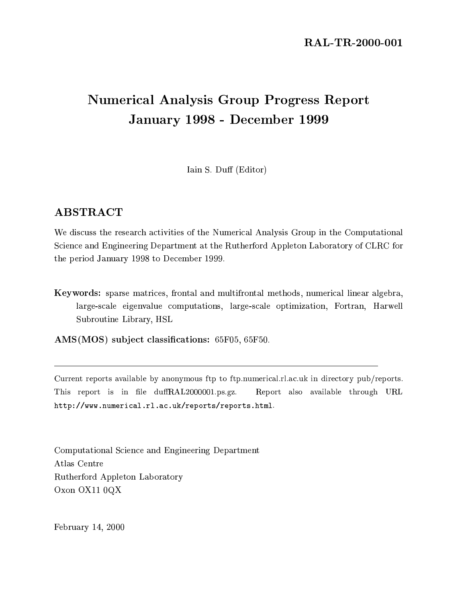# **Numerical Analysis Group Progress Report** January 1998 - December 1999

Iain S. Duff (Editor)

# **ABSTRACT**

We discuss the research activities of the Numerical Analysis Group in the Computational Science and Engineering Department at the Rutherford Appleton Laboratory of CLRC for the period January 1998 to December 1999.

Keywords: sparse matrices, frontal and multifrontal methods, numerical linear algebra, large-scale eigenvalue computations, large-scale optimization, Fortran, Harwell Subroutine Library, HSL

AMS(MOS) subject classifications: 65F05, 65F50.

Current reports available by anonymous ftp to ftp.numerical.rl.ac.uk in directory pub/reports. This report is in file duffRAL2000001.ps.gz. Report also available through URL http://www.numerical.rl.ac.uk/reports/reports.html.

Computational Science and Engineering Department Atlas Centre Rutherford Appleton Laboratory Oxon OX11 0QX

February 14, 2000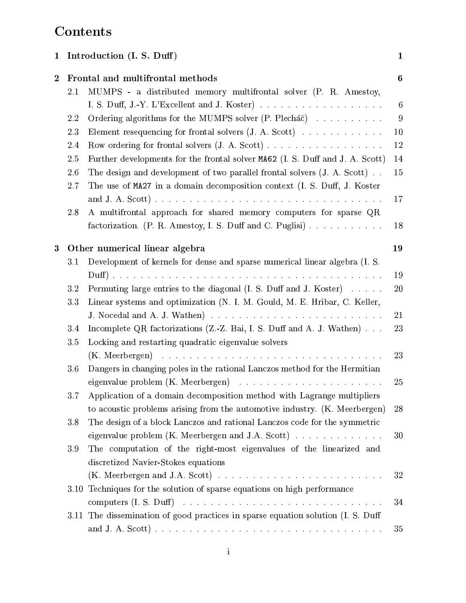# Contents

| $\mathbf{1}$ |            | Introduction (I. S. Duff)                                                                                                                                | $\mathbf{1}$     |
|--------------|------------|----------------------------------------------------------------------------------------------------------------------------------------------------------|------------------|
| $\bf{2}$     | 2.1        | Frontal and multifrontal methods<br>MUMPS - a distributed memory multifrontal solver (P. R. Amestoy,                                                     | $\boldsymbol{6}$ |
|              |            |                                                                                                                                                          | $6\phantom{.}6$  |
|              | 2.2        | Ordering algorithms for the MUMPS solver (P. Plecháč)                                                                                                    | 9                |
|              | 2.3        | Element resequencing for frontal solvers $(J. A. Scott)$                                                                                                 | 10               |
|              | 2.4        | Row ordering for frontal solvers $(J. A. Scott) \ldots \ldots \ldots \ldots \ldots \ldots$                                                               | $12\,$           |
|              | 2.5        | Further developments for the frontal solver MA62 (I. S. Duff and J. A. Scott)                                                                            | 14               |
|              | 2.6<br>2.7 | The design and development of two parallel frontal solvers $(J. A. Scott)$ .<br>The use of MA27 in a domain decomposition context (I. S. Duff, J. Koster | 15               |
|              |            |                                                                                                                                                          | 17               |
|              | 2.8        | A multifrontal approach for shared memory computers for sparse QR<br>factorization. (P. R. Amestoy, I. S. Duff and C. Puglisi)                           | 18               |
| 3            |            | Other numerical linear algebra                                                                                                                           | 19               |
|              | 3.1        | Development of kernels for dense and sparse numerical linear algebra (I. S.                                                                              |                  |
|              |            |                                                                                                                                                          | 19               |
|              | 3.2        | Permuting large entries to the diagonal (I. S. Duff and J. Koster)                                                                                       | 20               |
|              | 3.3        | Linear systems and optimization (N. I. M. Gould, M. E. Hribar, C. Keller,                                                                                |                  |
|              |            |                                                                                                                                                          | 21               |
|              | 3.4        | Incomplete QR factorizations (Z.-Z. Bai, I. S. Duff and A. J. Wathen)                                                                                    | 23               |
|              | 3.5        | Locking and restarting quadratic eigenvalue solvers                                                                                                      |                  |
|              |            |                                                                                                                                                          | $23\,$           |
|              | 3.6        | Dangers in changing poles in the rational Lanczos method for the Hermitian                                                                               |                  |
|              |            | eigenvalue problem $(K.$ Meerbergen) $\ldots \ldots \ldots \ldots \ldots \ldots \ldots$                                                                  | $25\,$           |
|              | 3.7        | Application of a domain decomposition method with Lagrange multipliers                                                                                   |                  |
|              |            | to acoustic problems arising from the automotive industry. (K. Meerbergen)                                                                               | 28               |
|              | 3.8        | The design of a block Lanczos and rational Lanczos code for the symmetric                                                                                |                  |
|              |            | eigenvalue problem (K. Meerbergen and J.A. Scott) $\ldots \ldots \ldots \ldots$                                                                          | 30               |
|              | 3.9        | The computation of the right-most eigenvalues of the linearized and                                                                                      |                  |
|              |            | discretized Navier-Stokes equations                                                                                                                      |                  |
|              |            | (K. Meerbergen and J.A. Scott) $\ldots \ldots \ldots \ldots \ldots \ldots \ldots \ldots \ldots$                                                          | 32               |
|              |            | 3.10 Techniques for the solution of sparse equations on high performance                                                                                 | 34               |
|              |            | 3.11 The dissemination of good practices in sparse equation solution (I. S. Duff                                                                         |                  |
|              |            |                                                                                                                                                          | 35               |
|              |            |                                                                                                                                                          |                  |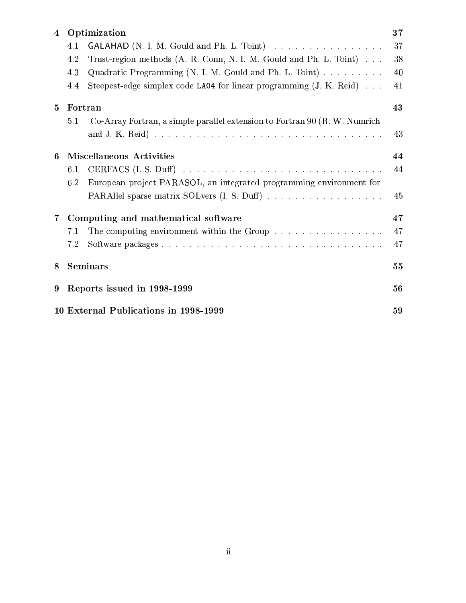| $\overline{4}$ |     | Optimization                                                                    | 37 |
|----------------|-----|---------------------------------------------------------------------------------|----|
|                | 4.1 | GALAHAD (N. I. M. Gould and Ph. L. Toint)                                       | 37 |
|                | 4.2 | Trust-region methods (A. R. Conn, N. I. M. Gould and Ph. L. Toint)              | 38 |
|                | 4.3 | Quadratic Programming (N. I. M. Gould and Ph. L. Toint)                         | 40 |
|                | 4.4 | Steepest-edge simplex code LA04 for linear programming (J. K. Reid)             | 41 |
| $5^{\circ}$    |     | Fortran                                                                         | 43 |
|                | 5.1 | Co-Array Fortran, a simple parallel extension to Fortran 90 (R. W. Numrich      |    |
|                |     |                                                                                 | 43 |
| 6              |     | <b>Miscellaneous Activities</b>                                                 | 44 |
|                | 6.1 |                                                                                 | 44 |
|                | 6.2 | European project PARASOL, an integrated programming environment for             |    |
|                |     | PARAllel sparse matrix SOLvers (I. S. Duff)                                     | 45 |
| $7^{\circ}$    |     | Computing and mathematical software                                             | 47 |
|                | 7.1 | The computing environment within the Group $\ldots \ldots \ldots \ldots \ldots$ | 47 |
|                | 7.2 |                                                                                 | 47 |
| 8              |     | <b>Seminars</b>                                                                 | 55 |
| 9              |     | Reports issued in 1998-1999                                                     | 56 |
|                |     | 10 External Publications in 1998-1999                                           | 59 |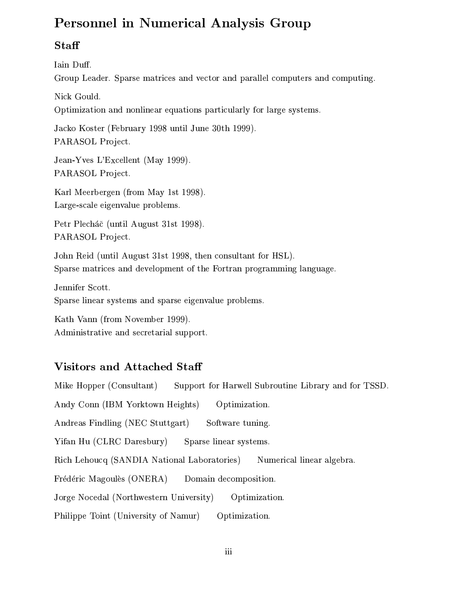# **Personnel in Numerical Analysis Group**

# Staff

Iain Duff. Group Leader. Sparse matrices and vector and parallel computers and computing.

Nick Gould.

Optimization and nonlinear equations particularly for large systems.

Jacko Koster (February 1998 until June 30th 1999). PARASOL Project.

Jean-Yves L'Excellent (May 1999). PARASOL Project.

Karl Meerbergen (from May 1st 1998). Large-scale eigenvalue problems.

Petr Plecháč (until August 31st 1998). PARASOL Project.

John Reid (until August 31st 1998, then consultant for HSL). Sparse matrices and development of the Fortran programming language.

Jennifer Scott. Sparse linear systems and sparse eigenvalue problems.

Kath Vann (from November 1999). Administrative and secretarial support.

# **Visitors and Attached Staff**

Mike Hopper (Consultant) Support for Harwell Subroutine Library and for TSSD.

Andy Conn (IBM Yorktown Heights) Optimization.

Andreas Findling (NEC Stuttgart) Software tuning.

Yifan Hu (CLRC Daresbury) Sparse linear systems.

Numerical linear algebra. Rich Lehoucq (SANDIA National Laboratories)

Frédéric Magoulès (ONERA) Domain decomposition.

Jorge Nocedal (Northwestern University) Optimization.

Philippe Toint (University of Namur) Optimization.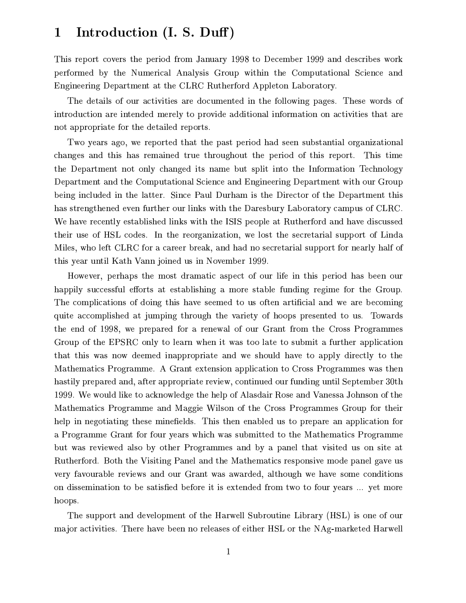#### Introduction (I. S. Duff)  $\mathbf 1$

This report covers the period from January 1998 to December 1999 and describes work performed by the Numerical Analysis Group within the Computational Science and Engineering Department at the CLRC Rutherford Appleton Laboratory.

The details of our activities are documented in the following pages. These words of introduction are intended merely to provide additional information on activities that are not appropriate for the detailed reports.

Two years ago, we reported that the past period had seen substantial organizational changes and this has remained true throughout the period of this report. This time the Department not only changed its name but split into the Information Technology Department and the Computational Science and Engineering Department with our Group being included in the latter. Since Paul Durham is the Director of the Department this has strengthened even further our links with the Daresbury Laboratory campus of CLRC. We have recently established links with the ISIS people at Rutherford and have discussed their use of HSL codes. In the reorganization, we lost the secretarial support of Linda Miles, who left CLRC for a career break, and had no secretarial support for nearly half of this year until Kath Vann joined us in November 1999.

However, perhaps the most dramatic aspect of our life in this period has been our happily successful efforts at establishing a more stable funding regime for the Group. The complications of doing this have seemed to us often artificial and we are becoming quite accomplished at jumping through the variety of hoops presented to us. Towards the end of 1998, we prepared for a renewal of our Grant from the Cross Programmes Group of the EPSRC only to learn when it was too late to submit a further application that this was now deemed inappropriate and we should have to apply directly to the Mathematics Programme. A Grant extension application to Cross Programmes was then hastily prepared and, after appropriate review, continued our funding until September 30th 1999. We would like to acknowledge the help of Alasdair Rose and Vanessa Johnson of the Mathematics Programme and Maggie Wilson of the Cross Programmes Group for their help in negotiating these minefields. This then enabled us to prepare an application for a Programme Grant for four years which was submitted to the Mathematics Programme but was reviewed also by other Programmes and by a panel that visited us on site at Rutherford. Both the Visiting Panel and the Mathematics responsive mode panel gave us very favourable reviews and our Grant was awarded, although we have some conditions on dissemination to be satisfied before it is extended from two to four years ... yet more hoops.

The support and development of the Harwell Subroutine Library (HSL) is one of our major activities. There have been no releases of either HSL or the NAg-marketed Harwell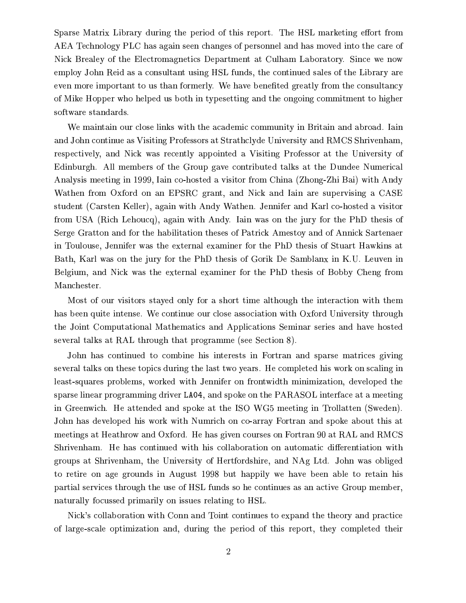Sparse Matrix Library during the period of this report. The HSL marketing effort from AEA Technology PLC has again seen changes of personnel and has moved into the care of Nick Brealey of the Electromagnetics Department at Culham Laboratory. Since we now employ John Reid as a consultant using HSL funds, the continued sales of the Library are even more important to us than formerly. We have benefited greatly from the consultancy of Mike Hopper who helped us both in typesetting and the ongoing commitment to higher software standards.

We maintain our close links with the academic community in Britain and abroad. Iain and John continue as Visiting Professors at Strathclyde University and RMCS Shrivenham, respectively, and Nick was recently appointed a Visiting Professor at the University of Edinburgh. All members of the Group gave contributed talks at the Dundee Numerical Analysis meeting in 1999, Iain co-hosted a visitor from China (Zhong-Zhi Bai) with Andy Wathen from Oxford on an EPSRC grant, and Nick and Iain are supervising a CASE student (Carsten Keller), again with Andy Wathen. Jennifer and Karl co-hosted a visitor from USA (Rich Lehoucq), again with Andy. Iain was on the jury for the PhD thesis of Serge Gratton and for the habilitation theses of Patrick Amestoy and of Annick Sartenaer in Toulouse, Jennifer was the external examiner for the PhD thesis of Stuart Hawkins at Bath, Karl was on the jury for the PhD thesis of Gorik De Samblanx in K.U. Leuven in Belgium, and Nick was the external examiner for the PhD thesis of Bobby Cheng from Manchester.

Most of our visitors stayed only for a short time although the interaction with them has been quite intense. We continue our close association with Oxford University through the Joint Computational Mathematics and Applications Seminar series and have hosted several talks at RAL through that programme (see Section 8).

John has continued to combine his interests in Fortran and sparse matrices giving several talks on these topics during the last two years. He completed his work on scaling in least-squares problems, worked with Jennifer on frontwidth minimization, developed the sparse linear programming driver LA04, and spoke on the PARASOL interface at a meeting in Greenwich. He attended and spoke at the ISO WG5 meeting in Trollatten (Sweden). John has developed his work with Numrich on co-array Fortran and spoke about this at meetings at Heathrow and Oxford. He has given courses on Fortran 90 at RAL and RMCS Shrivenham. He has continued with his collaboration on automatic differentiation with groups at Shrivenham, the University of Hertfordshire, and NAg Ltd. John was obliged to retire on age grounds in August 1998 but happily we have been able to retain his partial services through the use of HSL funds so he continues as an active Group member, naturally focussed primarily on issues relating to HSL.

Nick's collaboration with Conn and Toint continues to expand the theory and practice of large-scale optimization and, during the period of this report, they completed their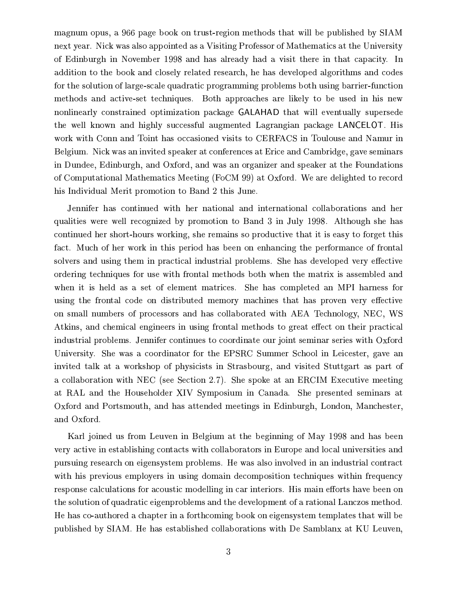magnum opus, a 966 page book on trust-region methods that will be published by SIAM next year. Nick was also appointed as a Visiting Professor of Mathematics at the University of Edinburgh in November 1998 and has already had a visit there in that capacity. In addition to the book and closely related research, he has developed algorithms and codes for the solution of large-scale quadratic programming problems both using barrier-function methods and active-set techniques. Both approaches are likely to be used in his new nonlinearly constrained optimization package GALAHAD that will eventually supersede the well known and highly successful augmented Lagrangian package LANCELOT. His work with Conn and Toint has occasioned visits to CERFACS in Toulouse and Namur in Belgium. Nick was an invited speaker at conferences at Erice and Cambridge, gave seminars in Dundee, Edinburgh, and Oxford, and was an organizer and speaker at the Foundations of Computational Mathematics Meeting (FoCM 99) at Oxford. We are delighted to record his Individual Merit promotion to Band 2 this June.

Jennifer has continued with her national and international collaborations and her qualities were well recognized by promotion to Band 3 in July 1998. Although she has continued her short-hours working, she remains so productive that it is easy to forget this fact. Much of her work in this period has been on enhancing the performance of frontal solvers and using them in practical industrial problems. She has developed very effective ordering techniques for use with frontal methods both when the matrix is assembled and when it is held as a set of element matrices. She has completed an MPI harness for using the frontal code on distributed memory machines that has proven very effective on small numbers of processors and has collaborated with AEA Technology, NEC, WS Atkins, and chemical engineers in using frontal methods to great effect on their practical industrial problems. Jennifer continues to coordinate our joint seminar series with Oxford University. She was a coordinator for the EPSRC Summer School in Leicester, gave an invited talk at a workshop of physicists in Strasbourg, and visited Stuttgart as part of a collaboration with NEC (see Section 2.7). She spoke at an ERCIM Executive meeting at RAL and the Householder XIV Symposium in Canada. She presented seminars at Oxford and Portsmouth, and has attended meetings in Edinburgh, London, Manchester, and Oxford.

Karl joined us from Leuven in Belgium at the beginning of May 1998 and has been very active in establishing contacts with collaborators in Europe and local universities and pursuing research on eigensystem problems. He was also involved in an industrial contract with his previous employers in using domain decomposition techniques within frequency response calculations for acoustic modelling in car interiors. His main efforts have been on the solution of quadratic eigenproblems and the development of a rational Lanczos method. He has co-authored a chapter in a forthcoming book on eigensystem templates that will be published by SIAM. He has established collaborations with De Samblanx at KU Leuven,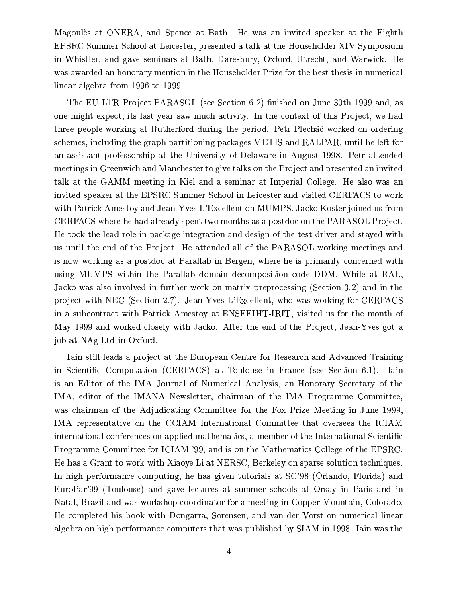Magoules at ONERA, and Spence at Bath. He was an invited speaker at the Eighth EPSRC Summer School at Leicester, presented a talk at the Householder XIV Symposium in Whistler, and gave seminars at Bath, Daresbury, Oxford, Utrecht, and Warwick. He was awarded an honorary mention in the Householder Prize for the best thesis in numerical linear algebra from 1996 to 1999.

The EU LTR Project PARASOL (see Section 6.2) finished on June 30th 1999 and, as one might expect, its last year saw much activity. In the context of this Project, we had three people working at Rutherford during the period. Petr Plecháč worked on ordering schemes, including the graph partitioning packages METIS and RALPAR, until he left for an assistant professorship at the University of Delaware in August 1998. Petr attended meetings in Greenwich and Manchester to give talks on the Project and presented an invited talk at the GAMM meeting in Kiel and a seminar at Imperial College. He also was an invited speaker at the EPSRC Summer School in Leicester and visited CERFACS to work with Patrick Amestoy and Jean-Yves L'Excellent on MUMPS. Jacko Koster joined us from CERFACS where he had already spent two months as a postdoc on the PARASOL Project. He took the lead role in package integration and design of the test driver and stayed with us until the end of the Project. He attended all of the PARASOL working meetings and is now working as a postdoc at Parallab in Bergen, where he is primarily concerned with using MUMPS within the Parallab domain decomposition code DDM. While at RAL, Jacko was also involved in further work on matrix preprocessing (Section 3.2) and in the project with NEC (Section 2.7). Jean-Yves L'Excellent, who was working for CERFACS in a subcontract with Patrick Amestoy at ENSEEIHT-IRIT, visited us for the month of May 1999 and worked closely with Jacko. After the end of the Project, Jean-Yves got a job at NAg Ltd in Oxford.

Lain still leads a project at the European Centre for Research and Advanced Training in Scientific Computation (CERFACS) at Toulouse in France (see Section 6.1). Iain is an Editor of the IMA Journal of Numerical Analysis, an Honorary Secretary of the IMA, editor of the IMANA Newsletter, chairman of the IMA Programme Committee, was chairman of the Adjudicating Committee for the Fox Prize Meeting in June 1999, IMA representative on the CCIAM International Committee that oversees the ICIAM international conferences on applied mathematics, a member of the International Scientific Programme Committee for ICIAM '99, and is on the Mathematics College of the EPSRC. He has a Grant to work with Xiaoye Li at NERSC, Berkeley on sparse solution techniques. In high performance computing, he has given tutorials at SC'98 (Orlando, Florida) and EuroPar'99 (Toulouse) and gave lectures at summer schools at Orsay in Paris and in Natal, Brazil and was workshop coordinator for a meeting in Copper Mountain, Colorado. He completed his book with Dongarra, Sorensen, and van der Vorst on numerical linear algebra on high performance computers that was published by SIAM in 1998. Iain was the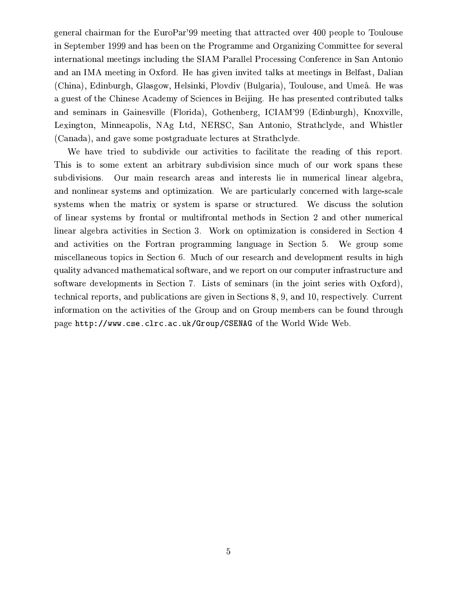general chairman for the EuroPar'99 meeting that attracted over 400 people to Toulouse in September 1999 and has been on the Programme and Organizing Committee for several international meetings including the SIAM Parallel Processing Conference in San Antonio and an IMA meeting in Oxford. He has given invited talks at meetings in Belfast, Dalian (China), Edinburgh, Glasgow, Helsinki, Plovdiv (Bulgaria), Toulouse, and Umeå. He was a guest of the Chinese Academy of Sciences in Beijing. He has presented contributed talks and seminars in Gainesville (Florida), Gothenberg, ICIAM'99 (Edinburgh), Knoxville, Lexington, Minneapolis, NAg Ltd, NERSC, San Antonio, Strathclyde, and Whistler (Canada), and gave some postgraduate lectures at Strathclyde.

We have tried to subdivide our activities to facilitate the reading of this report. This is to some extent an arbitrary subdivision since much of our work spans these subdivisions. Our main research areas and interests lie in numerical linear algebra, and nonlinear systems and optimization. We are particularly concerned with large-scale systems when the matrix or system is sparse or structured. We discuss the solution of linear systems by frontal or multifrontal methods in Section 2 and other numerical linear algebra activities in Section 3. Work on optimization is considered in Section 4 and activities on the Fortran programming language in Section 5. We group some miscellaneous topics in Section 6. Much of our research and development results in high quality advanced mathematical software, and we report on our computer infrastructure and software developments in Section 7. Lists of seminars (in the joint series with Oxford), technical reports, and publications are given in Sections 8, 9, and 10, respectively. Current information on the activities of the Group and on Group members can be found through page http://www.cse.clrc.ac.uk/Group/CSENAG of the World Wide Web.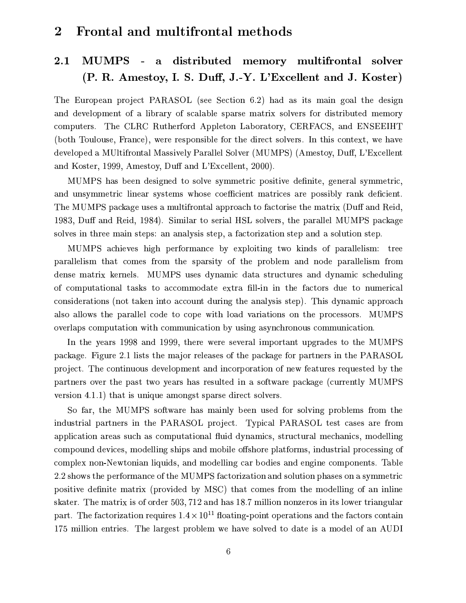#### Frontal and multifrontal methods  $\boldsymbol{2}$

#### MUMPS distributed memory multifrontal  $2.1\,$  $\mathbf{a}$ solver (P. R. Amestoy, I. S. Duff, J.-Y. L'Excellent and J. Koster)

The European project PARASOL (see Section 6.2) had as its main goal the design and development of a library of scalable sparse matrix solvers for distributed memory computers. The CLRC Rutherford Appleton Laboratory, CERFACS, and ENSEEIHT (both Toulouse, France), were responsible for the direct solvers. In this context, we have developed a MUltifrontal Massively Parallel Solver (MUMPS) (Amestoy, Duff, L'Excellent and Koster, 1999, Amestoy, Duff and L'Excellent, 2000).

MUMPS has been designed to solve symmetric positive definite, general symmetric, and unsymmetric linear systems whose coefficient matrices are possibly rank deficient. The MUMPS package uses a multifrontal approach to factorise the matrix (Duff and Reid, 1983, Duff and Reid, 1984). Similar to serial HSL solvers, the parallel MUMPS package solves in three main steps: an analysis step, a factorization step and a solution step.

MUMPS achieves high performance by exploiting two kinds of parallelism: tree parallelism that comes from the sparsity of the problem and node parallelism from dense matrix kernels. MUMPS uses dynamic data structures and dynamic scheduling of computational tasks to accommodate extra fill-in in the factors due to numerical considerations (not taken into account during the analysis step). This dynamic approach also allows the parallel code to cope with load variations on the processors. MUMPS overlaps computation with communication by using asynchronous communication.

In the years 1998 and 1999, there were several important upgrades to the MUMPS package. Figure 2.1 lists the major releases of the package for partners in the PARASOL project. The continuous development and incorporation of new features requested by the partners over the past two years has resulted in a software package (currently MUMPS) version 4.1.1) that is unique amongst sparse direct solvers.

So far, the MUMPS software has mainly been used for solving problems from the industrial partners in the PARASOL project. Typical PARASOL test cases are from application areas such as computational fluid dynamics, structural mechanics, modelling compound devices, modelling ships and mobile offshore platforms, industrial processing of complex non-Newtonian liquids, and modelling car bodies and engine components. Table 2.2 shows the performance of the MUMPS factorization and solution phases on a symmetric positive definite matrix (provided by MSC) that comes from the modelling of an inline skater. The matrix is of order 503, 712 and has 18.7 million nonzeros in its lower triangular part. The factorization requires  $1.4 \times 10^{11}$  floating-point operations and the factors contain 175 million entries. The largest problem we have solved to date is a model of an AUDI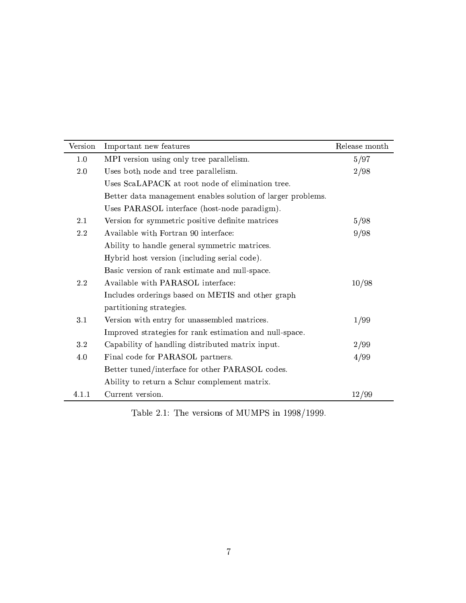| Version | Important new features                                      | Release month |
|---------|-------------------------------------------------------------|---------------|
| 1.0     | MPI version using only tree parallelism.                    | 5/97          |
| 2.0     | Uses both node and tree parallelism.                        | 2/98          |
|         | Uses ScaLAPACK at root node of elimination tree.            |               |
|         | Better data management enables solution of larger problems. |               |
|         | Uses PARASOL interface (host-node paradigm).                |               |
| 2.1     | Version for symmetric positive definite matrices            | 5/98          |
| 2.2     | Available with Fortran 90 interface:                        | 9/98          |
|         | Ability to handle general symmetric matrices.               |               |
|         | Hybrid host version (including serial code).                |               |
|         | Basic version of rank estimate and null-space.              |               |
| 2.2     | Available with PARASOL interface:                           | 10/98         |
|         | Includes orderings based on METIS and other graph           |               |
|         | partitioning strategies.                                    |               |
| 3.1     | Version with entry for unassembled matrices.                | 1/99          |
|         | Improved strategies for rank estimation and null-space.     |               |
| 3.2     | Capability of handling distributed matrix input.            | 2/99          |
| 4.0     | Final code for PARASOL partners.                            | 4/99          |
|         | Better tuned/interface for other PARASOL codes.             |               |
|         | Ability to return a Schur complement matrix.                |               |
| 4.1.1   | Current version.                                            | 12/99         |

Table 2.1: The versions of MUMPS in 1998/1999.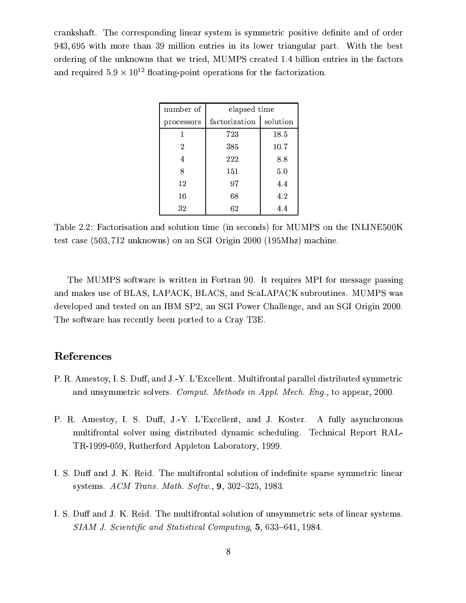crankshaft. The corresponding linear system is symmetric positive definite and of order 943,695 with more than 39 million entries in its lower triangular part. With the best ordering of the unknowns that we tried, MUMPS created 1.4 billion entries in the factors and required  $5.9 \times 10^{12}$  floating-point operations for the factorization.

| number of  | elapsed time  |          |  |
|------------|---------------|----------|--|
| processors | factorization | solution |  |
|            | 723           | 18.5     |  |
| 2          | 385           | 10.7     |  |
| 4          | 222           | 8.8      |  |
| 8          | 151           | 5.0      |  |
| 12         | 97            | 4.4      |  |
| 16         | 68            | 4.2      |  |
| 32         | 62            | 4.4      |  |

Table 2.2: Factorisation and solution time (in seconds) for MUMPS on the INLINE500K test case (503, 712 unknowns) on an SGI Origin 2000 (195Mhz) machine.

The MUMPS software is written in Fortran 90. It requires MPI for message passing and makes use of BLAS, LAPACK, BLACS, and ScaLAPACK subroutines. MUMPS was developed and tested on an IBM SP2, an SGI Power Challenge, and an SGI Origin 2000. The software has recently been ported to a Cray T3E.

### References

- P. R. Amestoy, I. S. Duff, and J.-Y. L'Excellent. Multifrontal parallel distributed symmetric and unsymmetric solvers. Comput. Methods in Appl. Mech. Eng., to appear, 2000.
- P. R. Amestoy, I. S. Duff, J.-Y. L'Excellent, and J. Koster. A fully asynchronous multifrontal solver using distributed dynamic scheduling. Technical Report RAL-TR-1999-059, Rutherford Appleton Laboratory, 1999.
- I. S. Duff and J. K. Reid. The multifrontal solution of indefinite sparse symmetric linear systems. ACM Trans. Math. Softw.,  $9, 302-325, 1983$ .
- I. S. Duff and J. K. Reid. The multifrontal solution of unsymmetric sets of linear systems. SIAM J. Scientific and Statistical Computing, 5, 633-641, 1984.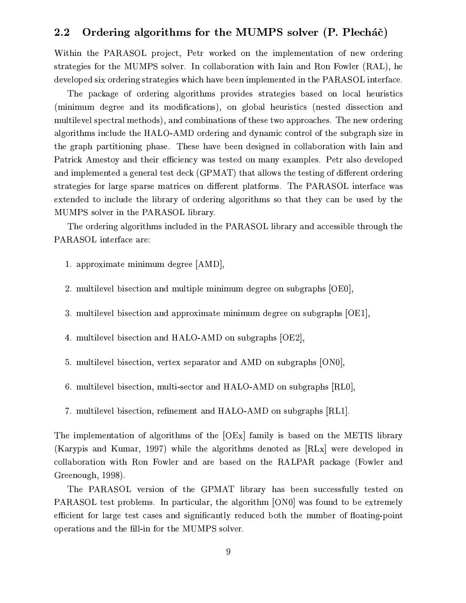#### Ordering algorithms for the MUMPS solver (P. Plecháč)  $\bf 2.2$

Within the PARASOL project, Petr worked on the implementation of new ordering strategies for the MUMPS solver. In collaboration with Iain and Ron Fowler (RAL), he developed six ordering strategies which have been implemented in the PARASOL interface.

The package of ordering algorithms provides strategies based on local heuristics (minimum degree and its modifications), on global heuristics (nested dissection and multilevel spectral methods), and combinations of these two approaches. The new ordering algorithms include the HALO-AMD ordering and dynamic control of the subgraph size in the graph partitioning phase. These have been designed in collaboration with Iain and Patrick Amestoy and their efficiency was tested on many examples. Petr also developed and implemented a general test deck (GPMAT) that allows the testing of different ordering strategies for large sparse matrices on different platforms. The PARASOL interface was extended to include the library of ordering algorithms so that they can be used by the MUMPS solver in the PARASOL library.

The ordering algorithms included in the PARASOL library and accessible through the PARASOL interface are:

- 1. approximate minimum degree [AMD],
- 2. multilevel bisection and multiple minimum degree on subgraphs [OE0],
- 3. multilevel bisection and approximate minimum degree on subgraphs [OE1],
- 4. multilevel bisection and HALO-AMD on subgraphs [OE2],
- 5. multilevel bisection, vertex separator and AMD on subgraphs [ON0],
- 6. multilevel bisection, multi-sector and HALO-AMD on subgraphs [RL0],
- 7. multilevel bisection, refinement and HALO-AMD on subgraphs [RL1].

The implementation of algorithms of the [OEx] family is based on the METIS library (Karypis and Kumar, 1997) while the algorithms denoted as [RLx] were developed in collaboration with Ron Fowler and are based on the RALPAR package (Fowler and Greenough, 1998).

The PARASOL version of the GPMAT library has been successfully tested on PARASOL test problems. In particular, the algorithm [ON0] was found to be extremely efficient for large test cases and significantly reduced both the number of floating-point operations and the fill-in for the MUMPS solver.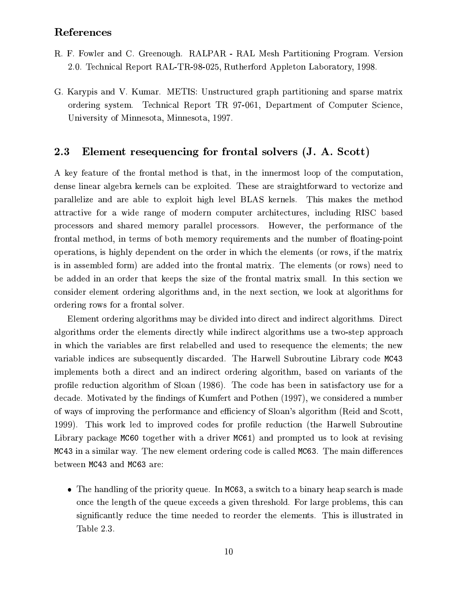### References

- R. F. Fowler and C. Greenough. RALPAR RAL Mesh Partitioning Program. Version 2.0. Technical Report RAL-TR-98-025, Rutherford Appleton Laboratory, 1998.
- G. Karypis and V. Kumar. METIS: Unstructured graph partitioning and sparse matrix ordering system. Technical Report TR 97-061, Department of Computer Science, University of Minnesota, Minnesota, 1997.

#### 2.3 Element resequencing for frontal solvers (J. A. Scott)

A key feature of the frontal method is that, in the innermost loop of the computation, dense linear algebra kernels can be exploited. These are straightforward to vectorize and parallelize and are able to exploit high level BLAS kernels. This makes the method attractive for a wide range of modern computer architectures, including RISC based processors and shared memory parallel processors. However, the performance of the frontal method, in terms of both memory requirements and the number of floating-point operations, is highly dependent on the order in which the elements (or rows, if the matrix is in assembled form) are added into the frontal matrix. The elements (or rows) need to be added in an order that keeps the size of the frontal matrix small. In this section we consider element ordering algorithms and, in the next section, we look at algorithms for ordering rows for a frontal solver.

Element ordering algorithms may be divided into direct and indirect algorithms. Direct algorithms order the elements directly while indirect algorithms use a two-step approach in which the variables are first relabelled and used to resequence the elements; the new variable indices are subsequently discarded. The Harwell Subroutine Library code MC43 implements both a direct and an indirect ordering algorithm, based on variants of the profile reduction algorithm of Sloan (1986). The code has been in satisfactory use for a decade. Motivated by the findings of Kumfert and Pothen (1997), we considered a number of ways of improving the performance and efficiency of Sloan's algorithm (Reid and Scott, 1999). This work led to improved codes for profile reduction (the Harwell Subroutine Library package MC60 together with a driver MC61) and prompted us to look at revising MC43 in a similar way. The new element ordering code is called MC63. The main differences between MC43 and MC63 are:

• The handling of the priority queue. In MC63, a switch to a binary heap search is made once the length of the queue exceeds a given threshold. For large problems, this can significantly reduce the time needed to reorder the elements. This is illustrated in Table 2.3.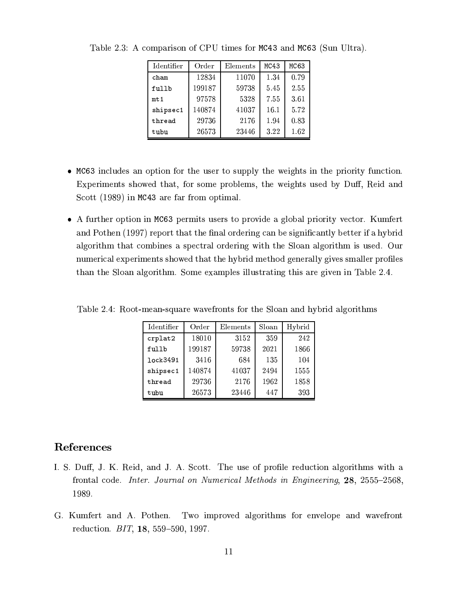| Identifier | Order  | Elements | MC43 | MC63 |
|------------|--------|----------|------|------|
| cham       | 12834  | 11070    | 1.34 | 0.79 |
| fullb      | 199187 | 59738    | 545  | 2.55 |
| $mtr$ 1    | 97578  | 5328     | 7.55 | 3.61 |
| shipsec1   | 140874 | 41037    | 16.1 | 5.72 |
| thread     | 29736  | 2176     | 1.94 | 0.83 |
| tubu       | 26573  | 23446    | 3.22 | 1.62 |

Table 2.3: A comparison of CPU times for MC43 and MC63 (Sun Ultra).

- MC63 includes an option for the user to supply the weights in the priority function. Experiments showed that, for some problems, the weights used by Duff, Reid and Scott (1989) in MC43 are far from optimal.
- A further option in MC63 permits users to provide a global priority vector. Kumfert and Pothen (1997) report that the final ordering can be significantly better if a hybrid algorithm that combines a spectral ordering with the Sloan algorithm is used. Our numerical experiments showed that the hybrid method generally gives smaller profiles than the Sloan algorithm. Some examples illustrating this are given in Table 2.4.

| Identifier | Order  | Elements | Sloan | Hybrid |
|------------|--------|----------|-------|--------|
| crplat2    | 18010  | 3152     | 359   | 242    |
| fullb      | 199187 | 59738    | 2021  | 1866   |
| lock3491   | 3416   | 684      | 135   | 104    |
| shipsec1   | 140874 | 41037    | 2494  | 1555   |
| thread     | 29736  | 2176     | 1962  | 1858   |
| tubu       | 26573  | 23446    | 447   | 393    |

Table 2.4: Root-mean-square wavefronts for the Sloan and hybrid algorithms

### References

- I. S. Duff, J. K. Reid, and J. A. Scott. The use of profile reduction algorithms with a frontal code. *Inter. Journal on Numerical Methods in Engineering*, 28, 2555–2568, 1989.
- Two improved algorithms for envelope and wavefront G. Kumfert and A. Pothen. reduction. BIT, 18, 559-590, 1997.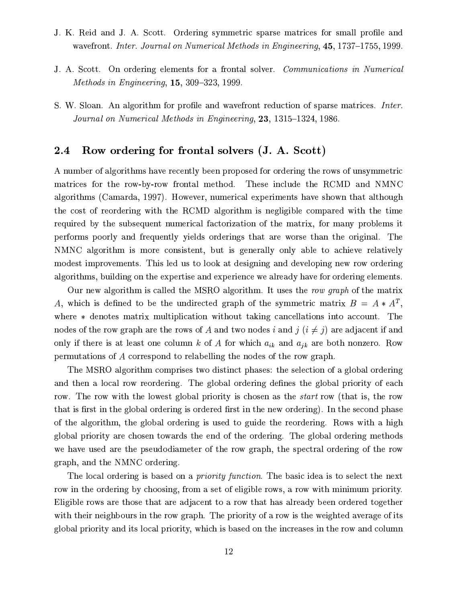- J. K. Reid and J. A. Scott. Ordering symmetric sparse matrices for small profile and wavefront. Inter. Journal on Numerical Methods in Engineering, 45, 1737–1755, 1999.
- J. A. Scott. On ordering elements for a frontal solver. Communications in Numerical Methods in Engineering,  $15, 309-323, 1999$ .
- S. W. Sloan. An algorithm for profile and wavefront reduction of sparse matrices. *Inter.* Journal on Numerical Methods in Engineering, 23, 1315-1324, 1986.

#### Row ordering for frontal solvers (J. A. Scott)  $2.4$

A number of algorithms have recently been proposed for ordering the rows of unsymmetric matrices for the row-by-row frontal method. These include the RCMD and NMNC algorithms (Camarda, 1997). However, numerical experiments have shown that although the cost of reordering with the RCMD algorithm is negligible compared with the time required by the subsequent numerical factorization of the matrix, for many problems it performs poorly and frequently yields orderings that are worse than the original. The NMNC algorithm is more consistent, but is generally only able to achieve relatively modest improvements. This led us to look at designing and developing new row ordering algorithms, building on the expertise and experience we already have for ordering elements.

Our new algorithm is called the MSRO algorithm. It uses the row graph of the matrix A, which is defined to be the undirected graph of the symmetric matrix  $B = A * A^T$ , where \* denotes matrix multiplication without taking cancellations into account. The nodes of the row graph are the rows of A and two nodes i and  $j$   $(i \neq j)$  are adjacent if and only if there is at least one column k of A for which  $a_{ik}$  and  $a_{jk}$  are both nonzero. Row permutations of A correspond to relabelling the nodes of the row graph.

The MSRO algorithm comprises two distinct phases: the selection of a global ordering and then a local row reordering. The global ordering defines the global priority of each row. The row with the lowest global priority is chosen as the *start* row (that is, the row that is first in the global ordering is ordered first in the new ordering). In the second phase of the algorithm, the global ordering is used to guide the reordering. Rows with a high global priority are chosen towards the end of the ordering. The global ordering methods we have used are the pseudodiameter of the row graph, the spectral ordering of the row graph, and the NMNC ordering.

The local ordering is based on a *priority function*. The basic idea is to select the next row in the ordering by choosing, from a set of eligible rows, a row with minimum priority. Eligible rows are those that are adjacent to a row that has already been ordered together with their neighbours in the row graph. The priority of a row is the weighted average of its global priority and its local priority, which is based on the increases in the row and column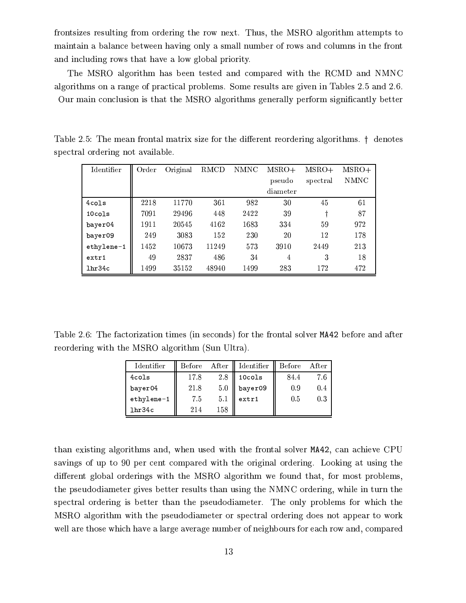frontsizes resulting from ordering the row next. Thus, the MSRO algorithm attempts to maintain a balance between having only a small number of rows and columns in the front and including rows that have a low global priority.

The MSRO algorithm has been tested and compared with the RCMD and NMNC algorithms on a range of practical problems. Some results are given in Tables 2.5 and 2.6. Our main conclusion is that the MSRO algorithms generally perform significantly better

| Identifier      | Order | Original | RMCD  | <b>NMNC</b> | $MSRO+$  | $MSRO+$  | $MSRO+$ |
|-----------------|-------|----------|-------|-------------|----------|----------|---------|
|                 |       |          |       |             | pseudo   | spectral | NMNC    |
|                 |       |          |       |             | diameter |          |         |
| $4 \text{cols}$ | 2218  | 11770    | 361   | 982         | 30       | 45       | 61      |
| $10 \nco 1s$    | 7091  | 29496    | 448   | 2422        | 39       |          | 87      |
| bayer04         | 1911  | 20545    | 4162  | 1683        | 334      | 59       | 972     |
| bayer09         | 249   | 3083     | 152   | 230         | 20       | 12       | 178     |
| ethylene-1      | 1452  | 10673    | 11249 | 573         | 3910     | 2449     | 213     |
| extr1           | 49    | 2837     | 486   | 34          | 4        | 3        | 18      |
| 1hr34c          | 1499  | 35152    | 48940 | 1499        | 283      | 172      | 472     |

Table 2.5: The mean frontal matrix size for the different reordering algorithms. † denotes spectral ordering not available.

Table 2.6: The factorization times (in seconds) for the frontal solver MA42 before and after reordering with the MSRO algorithm (Sun Ultra).

| <b>Identifier</b> | <b>Before</b> | After | Identifier         | Before | After |
|-------------------|---------------|-------|--------------------|--------|-------|
| $4 \text{cols}$   | 17.8          | 2.8   | 10 <sub>cols</sub> | 84.4   | 7.6   |
| bayer04           | 21.8          | 50    | bayer09            | 0.9    | 0.4   |
| ethylene-1        | 7.5           | 5.1   | extr1              | 0.5    | 0.3   |
| 1hr34c            | 214           | 158   |                    |        |       |

than existing algorithms and, when used with the frontal solver MA42, can achieve CPU savings of up to 90 per cent compared with the original ordering. Looking at using the different global orderings with the MSRO algorithm we found that, for most problems, the pseudodiameter gives better results than using the NMNC ordering, while in turn the spectral ordering is better than the pseudodiameter. The only problems for which the MSRO algorithm with the pseudodiameter or spectral ordering does not appear to work well are those which have a large average number of neighbours for each row and, compared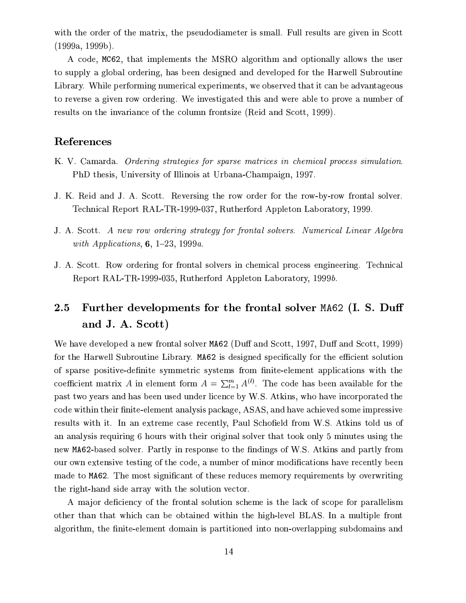with the order of the matrix, the pseudodiameter is small. Full results are given in Scott  $(1999a, 1999b).$ 

A code, MC62, that implements the MSRO algorithm and optionally allows the user to supply a global ordering, has been designed and developed for the Harwell Subroutine Library. While performing numerical experiments, we observed that it can be advantageous to reverse a given row ordering. We investigated this and were able to prove a number of results on the invariance of the column frontsize (Reid and Scott, 1999).

# References

- K. V. Camarda. Ordering strategies for sparse matrices in chemical process simulation. PhD thesis, University of Illinois at Urbana-Champaign, 1997.
- J. K. Reid and J. A. Scott. Reversing the row order for the row-by-row frontal solver. Technical Report RAL-TR-1999-037, Rutherford Appleton Laboratory, 1999.
- J. A. Scott. A new row ordering strategy for frontal solvers. Numerical Linear Algebra with Applications,  $6, 1-23, 1999a$ .
- J. A. Scott. Row ordering for frontal solvers in chemical process engineering. Technical Report RAL-TR-1999-035, Rutherford Appleton Laboratory, 1999b.

#### $2.5\,$ Further developments for the frontal solver MA62 (I. S. Duff and J. A. Scott)

We have developed a new frontal solver MA62 (Duff and Scott, 1997, Duff and Scott, 1999) for the Harwell Subroutine Library. MA62 is designed specifically for the efficient solution of sparse positive-definite symmetric systems from finite-element applications with the coefficient matrix A in element form  $A = \sum_{l=1}^{m} A^{(l)}$ . The code has been available for the past two years and has been used under licence by W.S. Atkins, who have incorporated the code within their finite-element analysis package, ASAS, and have achieved some impressive results with it. In an extreme case recently, Paul Schofield from W.S. Atkins told us of an analysis requiring 6 hours with their original solver that took only 5 minutes using the new MA62-based solver. Partly in response to the findings of W.S. Atkins and partly from our own extensive testing of the code, a number of minor modifications have recently been made to MA62. The most significant of these reduces memory requirements by overwriting the right-hand side array with the solution vector.

A major deficiency of the frontal solution scheme is the lack of scope for parallelism other than that which can be obtained within the high-level BLAS. In a multiple front algorithm, the finite-element domain is partitioned into non-overlapping subdomains and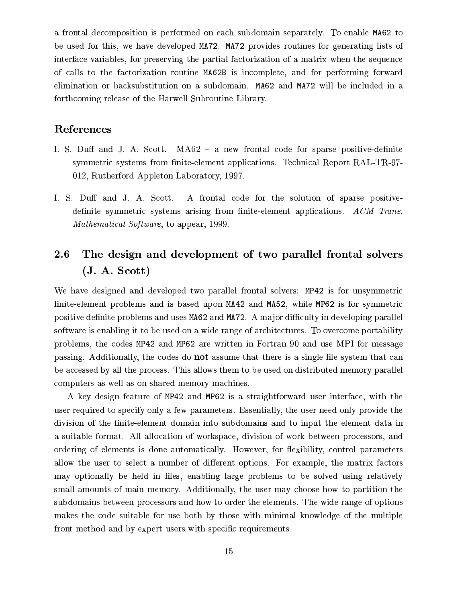a frontal decomposition is performed on each subdomain separately. To enable MA62 to be used for this, we have developed MA72. MA72 provides routines for generating lists of interface variables, for preserving the partial factorization of a matrix when the sequence of calls to the factorization routine MA62B is incomplete, and for performing forward elimination or backsubstitution on a subdomain. MA62 and MA72 will be included in a forthcoming release of the Harwell Subroutine Library.

## References

- I. S. Duff and J. A. Scott. MA62 a new frontal code for sparse positive-definite symmetric systems from finite-element applications. Technical Report RAL-TR-97-012, Rutherford Appleton Laboratory, 1997.
- I. S. Duff and J. A. Scott. A frontal code for the solution of sparse positivedefinite symmetric systems arising from finite-element applications.  $ACM$  Trans. *Mathematical Software*, to appear, 1999.

#### 2.6 The design and development of two parallel frontal solvers  $(J. A. Scott)$

We have designed and developed two parallel frontal solvers: MP42 is for unsymmetric finite-element problems and is based upon MA42 and MA52, while MP62 is for symmetric positive definite problems and uses MA62 and MA72. A major difficulty in developing parallel software is enabling it to be used on a wide range of architectures. To overcome portability problems, the codes MP42 and MP62 are written in Fortran 90 and use MPI for message passing. Additionally, the codes do not assume that there is a single file system that can be accessed by all the process. This allows them to be used on distributed memory parallel computers as well as on shared memory machines.

A key design feature of MP42 and MP62 is a straightforward user interface, with the user required to specify only a few parameters. Essentially, the user need only provide the division of the finite-element domain into subdomains and to input the element data in a suitable format. All allocation of workspace, division of work between processors, and ordering of elements is done automatically. However, for flexibility, control parameters allow the user to select a number of different options. For example, the matrix factors may optionally be held in files, enabling large problems to be solved using relatively small amounts of main memory. Additionally, the user may choose how to partition the subdomains between processors and how to order the elements. The wide range of options makes the code suitable for use both by those with minimal knowledge of the multiple front method and by expert users with specific requirements.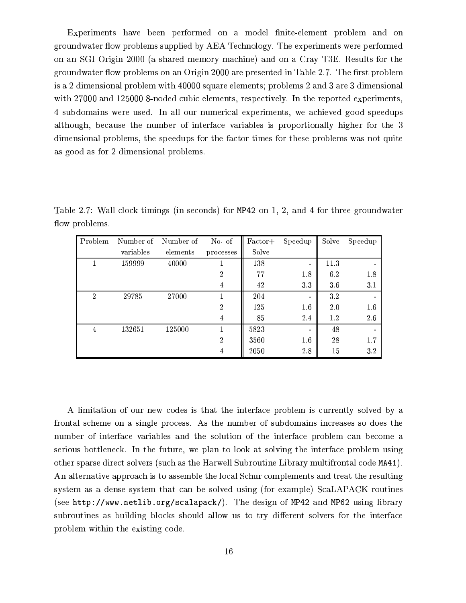Experiments have been performed on a model finite-element problem and on groundwater flow problems supplied by AEA Technology. The experiments were performed on an SGI Origin 2000 (a shared memory machine) and on a Cray T3E. Results for the groundwater flow problems on an Origin 2000 are presented in Table 2.7. The first problem is a 2 dimensional problem with 40000 square elements; problems 2 and 3 are 3 dimensional with 27000 and 125000 8-noded cubic elements, respectively. In the reported experiments, 4 subdomains were used. In all our numerical experiments, we achieved good speedups although, because the number of interface variables is proportionally higher for the 3 dimensional problems, the speedups for the factor times for these problems was not quite as good as for 2 dimensional problems.

Table 2.7: Wall clock timings (in seconds) for MP42 on 1, 2, and 4 for three groundwater flow problems.

| Problem        | Number of | Number of | No of          | Factor+ | Speedup | Solve | Speedup |
|----------------|-----------|-----------|----------------|---------|---------|-------|---------|
|                | variables | elements  | processes      | Solve   |         |       |         |
|                | 159999    | 40000     |                | 138     |         | 11.3  |         |
|                |           |           | $\mathfrak{D}$ | 77      | 18      | 6.2   | 18      |
|                |           |           | 4              | 42      | 33      | 36    | 3.1     |
| $\overline{2}$ | 29785     | 27000     |                | 204     |         | 3.2   |         |
|                |           |           | $\mathcal{D}$  | 125     | 1.6     | 2.0   | 16      |
|                |           |           | 4              | 85      | 24      | 1.2   | 2.6     |
| $\overline{4}$ | 132651    | 125000    |                | 5823    |         | 48    |         |
|                |           |           | $\overline{2}$ | 3560    | 1.6     | 28    | 1.7     |
|                |           |           | 4              | 2050    | 28      | 15    | 32      |

A limitation of our new codes is that the interface problem is currently solved by a frontal scheme on a single process. As the number of subdomains increases so does the number of interface variables and the solution of the interface problem can become a serious bottleneck. In the future, we plan to look at solving the interface problem using other sparse direct solvers (such as the Harwell Subroutine Library multifrontal code MA41). An alternative approach is to assemble the local Schur complements and treat the resulting system as a dense system that can be solved using (for example) ScaLAPACK routines (see http://www.netlib.org/scalapack/). The design of MP42 and MP62 using library subroutines as building blocks should allow us to try different solvers for the interface problem within the existing code.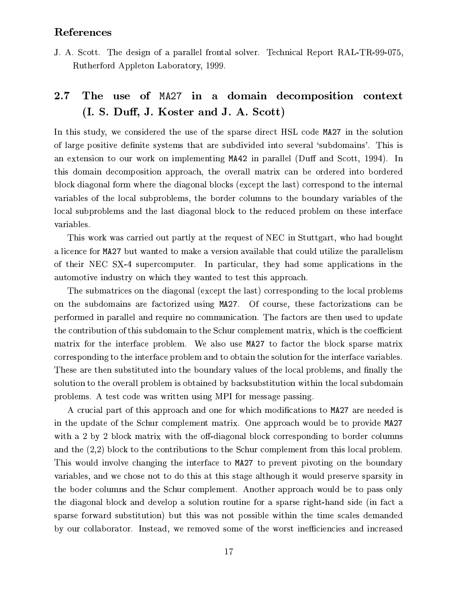### References

J. A. Scott. The design of a parallel frontal solver. Technical Report RAL-TR-99-075, Rutherford Appleton Laboratory, 1999.

#### $2.7$ The use of MA27 in a domain decomposition context (I. S. Duff, J. Koster and J. A. Scott)

In this study, we considered the use of the sparse direct HSL code MA27 in the solution of large positive definite systems that are subdivided into several 'subdomains'. This is an extension to our work on implementing MA42 in parallel (Duff and Scott, 1994). In this domain decomposition approach, the overall matrix can be ordered into bordered block diagonal form where the diagonal blocks (except the last) correspond to the internal variables of the local subproblems, the border columns to the boundary variables of the local subproblems and the last diagonal block to the reduced problem on these interface variables.

This work was carried out partly at the request of NEC in Stuttgart, who had bought a licence for MA27 but wanted to make a version available that could utilize the parallelism of their NEC SX-4 supercomputer. In particular, they had some applications in the automotive industry on which they wanted to test this approach.

The submatrices on the diagonal (except the last) corresponding to the local problems on the subdomains are factorized using MA27. Of course, these factorizations can be performed in parallel and require no communication. The factors are then used to update the contribution of this subdomain to the Schur complement matrix, which is the coefficient matrix for the interface problem. We also use MA27 to factor the block sparse matrix corresponding to the interface problem and to obtain the solution for the interface variables. These are then substituted into the boundary values of the local problems, and finally the solution to the overall problem is obtained by backsubstitution within the local subdomain problems. A test code was written using MPI for message passing.

A crucial part of this approach and one for which modifications to MA27 are needed is in the update of the Schur complement matrix. One approach would be to provide MA27 with a 2 by 2 block matrix with the off-diagonal block corresponding to border columns and the  $(2,2)$  block to the contributions to the Schur complement from this local problem. This would involve changing the interface to MA27 to prevent pivoting on the boundary variables, and we chose not to do this at this stage although it would preserve sparsity in the boder columns and the Schur complement. Another approach would be to pass only the diagonal block and develop a solution routine for a sparse right-hand side (in fact a sparse forward substitution) but this was not possible within the time scales demanded by our collaborator. Instead, we removed some of the worst inefficiencies and increased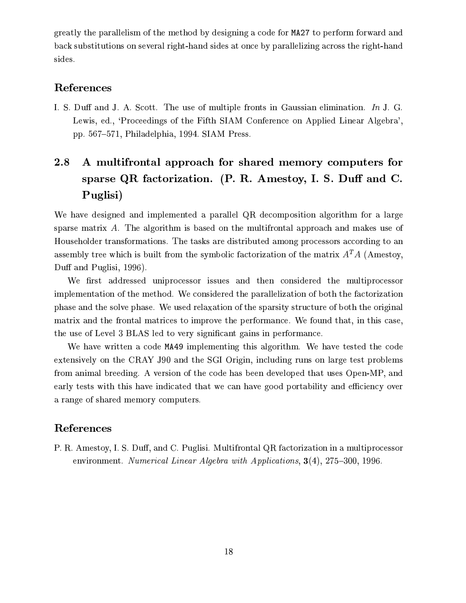greatly the parallelism of the method by designing a code for MA27 to perform forward and back substitutions on several right-hand sides at once by parallelizing across the right-hand sides.

# References

I. S. Duff and J. A. Scott. The use of multiple fronts in Gaussian elimination. In J. G. Lewis, ed., 'Proceedings of the Fifth SIAM Conference on Applied Linear Algebra', pp. 567-571, Philadelphia, 1994. SIAM Press.

## 2.8 A multifrontal approach for shared memory computers for sparse QR factorization.  $(P, R, A$ mestoy, I. S. Duff and C. Puglisi)

We have designed and implemented a parallel QR decomposition algorithm for a large sparse matrix A. The algorithm is based on the multifrontal approach and makes use of Householder transformations. The tasks are distributed among processors according to an assembly tree which is built from the symbolic factorization of the matrix  $A<sup>T</sup>A$  (Amestoy, Duff and Puglisi, 1996).

We first addressed uniprocessor issues and then considered the multiprocessor implementation of the method. We considered the parallelization of both the factorization phase and the solve phase. We used relaxation of the sparsity structure of both the original matrix and the frontal matrices to improve the performance. We found that, in this case, the use of Level 3 BLAS led to very significant gains in performance.

We have written a code MA49 implementing this algorithm. We have tested the code extensively on the CRAY J90 and the SGI Origin, including runs on large test problems from animal breeding. A version of the code has been developed that uses Open-MP, and early tests with this have indicated that we can have good portability and efficiency over a range of shared memory computers.

# References

P. R. Amestoy, I. S. Duff, and C. Puglisi. Multifrontal QR factorization in a multiprocessor environment. Numerical Linear Algebra with Applications,  $3(4)$ ,  $275-300$ , 1996.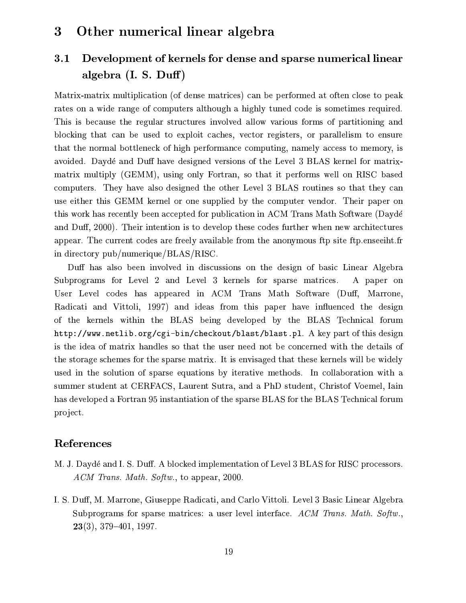#### Other numerical linear algebra  $\boldsymbol{3}$

#### Development of kernels for dense and sparse numerical linear  $3.1$ algebra  $(I. S. Duff)$

Matrix-matrix multiplication (of dense matrices) can be performed at often close to peak rates on a wide range of computers although a highly tuned code is sometimes required. This is because the regular structures involved allow various forms of partitioning and blocking that can be used to exploit caches, vector registers, or parallelism to ensure that the normal bottleneck of high performance computing, namely access to memory, is avoided. Daydé and Duff have designed versions of the Level 3 BLAS kernel for matrixmatrix multiply (GEMM), using only Fortran, so that it performs well on RISC based computers. They have also designed the other Level 3 BLAS routines so that they can use either this GEMM kernel or one supplied by the computer vendor. Their paper on this work has recently been accepted for publication in ACM Trans Math Software (Daydé and Duff, 2000). Their intention is to develop these codes further when new architectures appear. The current codes are freely available from the anonymous ftp site ftp.enseeiht.fr in directory pub/numerique/BLAS/RISC.

Duff has also been involved in discussions on the design of basic Linear Algebra Subprograms for Level 2 and Level 3 kernels for sparse matrices. A paper on User Level codes has appeared in ACM Trans Math Software (Duff, Marrone, Radicati and Vittoli, 1997) and ideas from this paper have influenced the design of the kernels within the BLAS being developed by the BLAS Technical forum http://www.netlib.org/cgi-bin/checkout/blast/blast.pl. A key part of this design is the idea of matrix handles so that the user need not be concerned with the details of the storage schemes for the sparse matrix. It is envisaged that these kernels will be widely used in the solution of sparse equations by iterative methods. In collaboration with a summer student at CERFACS, Laurent Sutra, and a PhD student, Christof Voemel, Iain has developed a Fortran 95 instantiation of the sparse BLAS for the BLAS Technical forum project.

## References

- M. J. Daydé and I. S. Duff. A blocked implementation of Level 3 BLAS for RISC processors. ACM Trans. Math. Softw., to appear, 2000.
- I. S. Duff, M. Marrone, Giuseppe Radicati, and Carlo Vittoli. Level 3 Basic Linear Algebra Subprograms for sparse matrices: a user level interface. ACM Trans. Math. Softw.,  $23(3), 379-401, 1997.$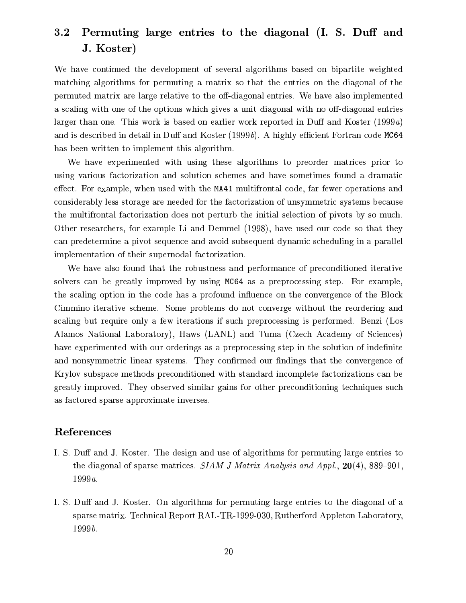#### Permuting large entries to the diagonal (I. S. Duff and  $\bf 3.2$ J. Koster)

We have continued the development of several algorithms based on bipartite weighted matching algorithms for permuting a matrix so that the entries on the diagonal of the permuted matrix are large relative to the off-diagonal entries. We have also implemented a scaling with one of the options which gives a unit diagonal with no off-diagonal entries larger than one. This work is based on earlier work reported in Duff and Koster  $(1999a)$ and is described in detail in Duff and Koster (1999b). A highly efficient Fortran code MC64 has been written to implement this algorithm.

We have experimented with using these algorithms to preorder matrices prior to using various factorization and solution schemes and have sometimes found a dramatic effect. For example, when used with the MA41 multifrontal code, far fewer operations and considerably less storage are needed for the factorization of unsymmetric systems because the multifrontal factorization does not perturb the initial selection of pivots by so much. Other researchers, for example Li and Demmel (1998), have used our code so that they can predetermine a pivot sequence and avoid subsequent dynamic scheduling in a parallel implementation of their supernodal factorization.

We have also found that the robustness and performance of preconditioned iterative solvers can be greatly improved by using MC64 as a preprocessing step. For example, the scaling option in the code has a profound influence on the convergence of the Block Cimmino iterative scheme. Some problems do not converge without the reordering and scaling but require only a few iterations if such preprocessing is performed. Benzi (Los Alamos National Laboratory), Haws (LANL) and Tuma (Czech Academy of Sciences) have experimented with our orderings as a preprocessing step in the solution of indefinite and nonsymmetric linear systems. They confirmed our findings that the convergence of Krylov subspace methods preconditioned with standard incomplete factorizations can be greatly improved. They observed similar gains for other preconditioning techniques such as factored sparse approximate inverses.

### References

- I. S. Duff and J. Koster. The design and use of algorithms for permuting large entries to the diagonal of sparse matrices. SIAM J Matrix Analysis and Appl.,  $20(4)$ , 889–901,  $1999a.$
- I. S. Duff and J. Koster. On algorithms for permuting large entries to the diagonal of a sparse matrix. Technical Report RAL-TR-1999-030, Rutherford Appleton Laboratory,  $1999b.$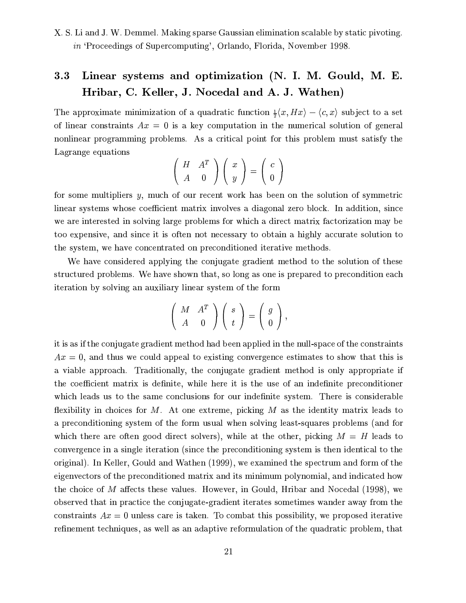X. S. Li and J. W. Demmel. Making sparse Gaussian elimination scalable by static pivoting. in 'Proceedings of Supercomputing', Orlando, Florida, November 1998.

#### Linear systems and optimization (N. I. M. Gould, M. E.  $3.3$ Hribar, C. Keller, J. Nocedal and A. J. Wathen)

The approximate minimization of a quadratic function  $\frac{1}{2}\langle x, Hx \rangle - \langle c, x \rangle$  subject to a set of linear constraints  $Ax = 0$  is a key computation in the numerical solution of general nonlinear programming problems. As a critical point for this problem must satisfy the Lagrange equations

$$
\left(\begin{array}{cc} H & A^T \\ A & 0 \end{array}\right)\left(\begin{array}{c} x \\ y \end{array}\right) = \left(\begin{array}{c} c \\ 0 \end{array}\right)
$$

for some multipliers  $y$ , much of our recent work has been on the solution of symmetric linear systems whose coefficient matrix involves a diagonal zero block. In addition, since we are interested in solving large problems for which a direct matrix factorization may be too expensive, and since it is often not necessary to obtain a highly accurate solution to the system, we have concentrated on preconditioned iterative methods.

We have considered applying the conjugate gradient method to the solution of these structured problems. We have shown that, so long as one is prepared to precondition each iteration by solving an auxiliary linear system of the form

$$
\left(\begin{array}{cc} M & A^T \\ A & 0 \end{array}\right)\left(\begin{array}{c} s \\ t \end{array}\right) = \left(\begin{array}{c} g \\ 0 \end{array}\right),
$$

it is as if the conjugate gradient method had been applied in the null-space of the constraints  $Ax = 0$ , and thus we could appeal to existing convergence estimates to show that this is a viable approach. Traditionally, the conjugate gradient method is only appropriate if the coefficient matrix is definite, while here it is the use of an indefinite preconditioner which leads us to the same conclusions for our indefinite system. There is considerable flexibility in choices for  $M$ . At one extreme, picking  $M$  as the identity matrix leads to a preconditioning system of the form usual when solving least-squares problems (and for which there are often good direct solvers), while at the other, picking  $M = H$  leads to convergence in a single iteration (since the preconditioning system is then identical to the original). In Keller, Gould and Wathen (1999), we examined the spectrum and form of the eigenvectors of the preconditioned matrix and its minimum polynomial, and indicated how the choice of  $M$  affects these values. However, in Gould, Hribar and Nocedal (1998), we observed that in practice the conjugate-gradient iterates sometimes wander away from the constraints  $Ax = 0$  unless care is taken. To combat this possibility, we proposed iterative refinement techniques, as well as an adaptive reformulation of the quadratic problem, that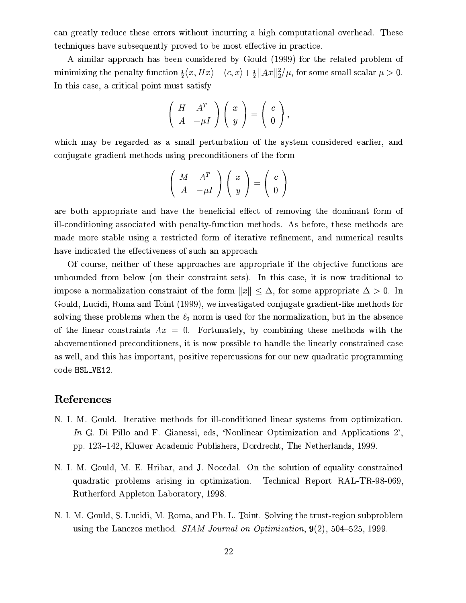can greatly reduce these errors without incurring a high computational overhead. These techniques have subsequently proved to be most effective in practice.

A similar approach has been considered by Gould (1999) for the related problem of minimizing the penalty function  $\frac{1}{2}\langle x, Hx \rangle - \langle c, x \rangle + \frac{1}{2} ||Ax||_2^2/\mu$ , for some small scalar  $\mu > 0$ . In this case, a critical point must satisfy

$$
\left(\begin{array}{cc} H & A^T \\ A & -\mu I \end{array}\right)\left(\begin{array}{c} x \\ y \end{array}\right)=\left(\begin{array}{c} c \\ 0 \end{array}\right),
$$

which may be regarded as a small perturbation of the system considered earlier, and conjugate gradient methods using preconditioners of the form

$$
\left(\begin{array}{cc} M & A^T \\ A & -\mu I \end{array}\right)\left(\begin{array}{c} x \\ y \end{array}\right) = \left(\begin{array}{c} c \\ 0 \end{array}\right)
$$

are both appropriate and have the beneficial effect of removing the dominant form of ill-conditioning associated with penalty-function methods. As before, these methods are made more stable using a restricted form of iterative refinement, and numerical results have indicated the effectiveness of such an approach.

Of course, neither of these approaches are appropriate if the objective functions are unbounded from below (on their constraint sets). In this case, it is now traditional to impose a normalization constraint of the form  $||x|| < \Delta$ , for some appropriate  $\Delta > 0$ . In Gould, Lucidi, Roma and Toint (1999), we investigated conjugate gradient-like methods for solving these problems when the  $\ell_2$  norm is used for the normalization, but in the absence of the linear constraints  $Ax = 0$ . Fortunately, by combining these methods with the abovementioned preconditioners, it is now possible to handle the linearly constrained case as well, and this has important, positive repercussions for our new quadratic programming code HSL\_VE12.

### References

- N. I. M. Gould. Iterative methods for ill-conditioned linear systems from optimization. In G. Di Pillo and F. Gianessi, eds, 'Nonlinear Optimization and Applications 2', pp. 123–142, Kluwer Academic Publishers, Dordrecht, The Netherlands, 1999.
- N. I. M. Gould, M. E. Hribar, and J. Nocedal. On the solution of equality constrained quadratic problems arising in optimization. Technical Report RAL-TR-98-069, Rutherford Appleton Laboratory, 1998.
- N. I. M. Gould, S. Lucidi, M. Roma, and Ph. L. Toint. Solving the trust-region subproblem using the Lanczos method. SIAM Journal on Optimization,  $9(2)$ , 504-525, 1999.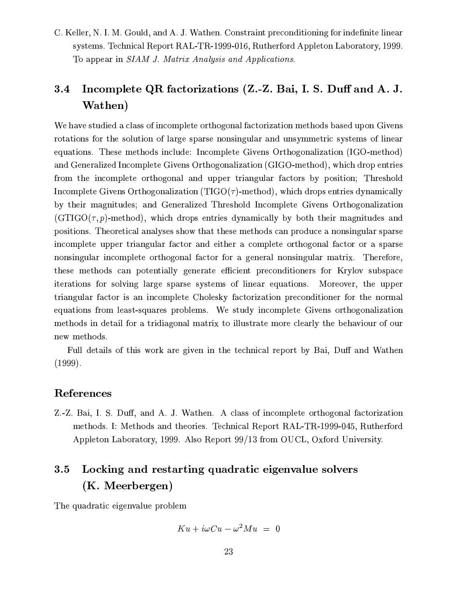C. Keller, N. I. M. Gould, and A. J. Wathen. Constraint preconditioning for indefinite linear systems. Technical Report RAL-TR-1999-016, Rutherford Appleton Laboratory, 1999. To appear in SIAM J. Matrix Analysis and Applications.

### Incomplete QR factorizations (Z.-Z. Bai, I. S. Duff and A. J. 3.4 Wathen)

We have studied a class of incomplete orthogonal factorization methods based upon Givens rotations for the solution of large sparse nonsingular and unsymmetric systems of linear equations. These methods include: Incomplete Givens Orthogonalization (IGO-method) and Generalized Incomplete Givens Orthogonalization (GIGO-method), which drop entries from the incomplete orthogonal and upper triangular factors by position; Threshold Incomplete Givens Orthogonalization (TIGO $(\tau)$ -method), which drops entries dynamically by their magnitudes; and Generalized Threshold Incomplete Givens Orthogonalization  $(GTIGO(\tau, p)-method)$ , which drops entries dynamically by both their magnitudes and positions. Theoretical analyses show that these methods can produce a nonsingular sparse incomplete upper triangular factor and either a complete orthogonal factor or a sparse nonsingular incomplete orthogonal factor for a general nonsingular matrix. Therefore, these methods can potentially generate efficient preconditioners for Krylov subspace iterations for solving large sparse systems of linear equations. Moreover, the upper triangular factor is an incomplete Cholesky factorization preconditioner for the normal equations from least-squares problems. We study incomplete Givens orthogonalization methods in detail for a tridiagonal matrix to illustrate more clearly the behaviour of our new methods.

Full details of this work are given in the technical report by Bai, Duff and Wathen  $(1999).$ 

## References

Z.-Z. Bai, I. S. Duff, and A. J. Wathen. A class of incomplete orthogonal factorization methods. I: Methods and theories. Technical Report RAL-TR-1999-045, Rutherford Appleton Laboratory, 1999. Also Report 99/13 from OUCL, Oxford University.

### Locking and restarting quadratic eigenvalue solvers  $3.5$ (K. Meerbergen)

The quadratic eigenvalue problem

$$
Ku + i\omega Cu - \omega^2 Mu = 0
$$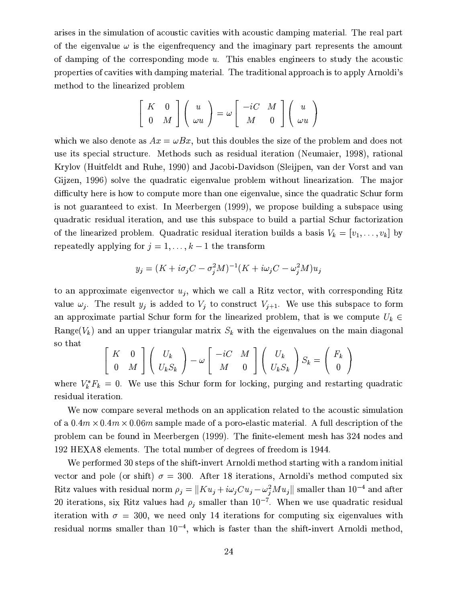arises in the simulation of acoustic cavities with acoustic damping material. The real part of the eigenvalue  $\omega$  is the eigenfrequency and the imaginary part represents the amount of damping of the corresponding mode  $u$ . This enables engineers to study the acoustic properties of cavities with damping material. The traditional approach is to apply Arnoldi's method to the linearized problem

$$
\left[\begin{array}{cc} K & 0 \\ 0 & M \end{array}\right] \left(\begin{array}{c} u \\ \omega u \end{array}\right) = \omega \left[\begin{array}{cc} -iC & M \\ M & 0 \end{array}\right] \left(\begin{array}{c} u \\ \omega u \end{array}\right)
$$

which we also denote as  $Ax = \omega Bx$ , but this doubles the size of the problem and does not use its special structure. Methods such as residual iteration (Neumaier, 1998), rational Krylov (Huitfeldt and Ruhe, 1990) and Jacobi-Davidson (Sleijpen, van der Vorst and van Gijzen, 1996) solve the quadratic eigenvalue problem without linearization. The major difficulty here is how to compute more than one eigenvalue, since the quadratic Schur form is not guaranteed to exist. In Meerbergen (1999), we propose building a subspace using quadratic residual iteration, and use this subspace to build a partial Schur factorization of the linearized problem. Quadratic residual iteration builds a basis  $V_k = [v_1, \ldots, v_k]$  by repeatedly applying for  $j = 1, ..., k - 1$  the transform

$$
y_j = (K + i\sigma_j C - \sigma_j^2 M)^{-1} (K + i\omega_j C - \omega_j^2 M) u_j
$$

to an approximate eigenvector  $u_j$ , which we call a Ritz vector, with corresponding Ritz value  $\omega_j$ . The result  $y_j$  is added to  $V_j$  to construct  $V_{j+1}$ . We use this subspace to form an approximate partial Schur form for the linearized problem, that is we compute  $U_k \in$ Range( $V_k$ ) and an upper triangular matrix  $S_k$  with the eigenvalues on the main diagonal so that

$$
\begin{bmatrix} K & 0 \\ 0 & M \end{bmatrix} \begin{bmatrix} U_k \\ U_k S_k \end{bmatrix} - \omega \begin{bmatrix} -iC & M \\ M & 0 \end{bmatrix} \begin{bmatrix} U_k \\ U_k S_k \end{bmatrix} S_k = \begin{bmatrix} F_k \\ 0 \end{bmatrix}
$$

where  $V_k^* F_k = 0$ . We use this Schur form for locking, purging and restarting quadratic residual iteration.

We now compare several methods on an application related to the acoustic simulation of a  $0.4m \times 0.4m \times 0.06m$  sample made of a poro-elastic material. A full description of the problem can be found in Meerbergen (1999). The finite-element mesh has 324 nodes and 192 HEXA8 elements. The total number of degrees of freedom is 1944.

We performed 30 steps of the shift-invert Arnoldi method starting with a random initial vector and pole (or shift)  $\sigma = 300$ . After 18 iterations, Arnoldi's method computed six Ritz values with residual norm  $\rho_j = ||Ku_j + i\omega_j Cu_j - \omega_i^2 M u_j||$  smaller than 10<sup>-4</sup> and after 20 iterations, six Ritz values had  $\rho_i$  smaller than  $10^{-7}$ . When we use quadratic residual iteration with  $\sigma = 300$ , we need only 14 iterations for computing six eigenvalues with residual norms smaller than  $10^{-4}$ , which is faster than the shift-invert Arnoldi method,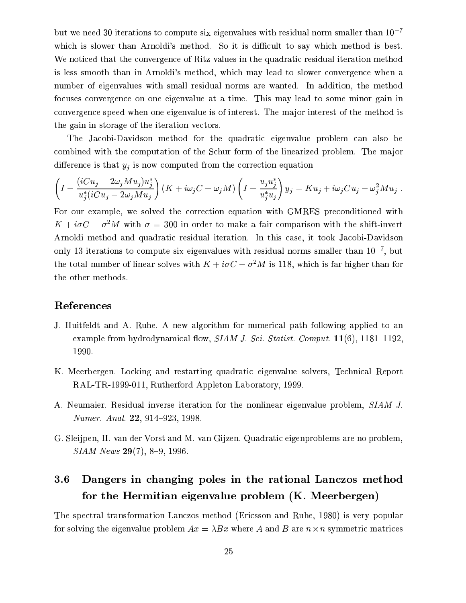but we need 30 iterations to compute six eigenvalues with residual norm smaller than  $10^{-7}$ which is slower than Arnoldi's method. So it is difficult to say which method is best. We noticed that the convergence of Ritz values in the quadratic residual iteration method is less smooth than in Arnoldi's method, which may lead to slower convergence when a number of eigenvalues with small residual norms are wanted. In addition, the method focuses convergence on one eigenvalue at a time. This may lead to some minor gain in convergence speed when one eigenvalue is of interest. The major interest of the method is the gain in storage of the iteration vectors.

The Jacobi-Davidson method for the quadratic eigenvalue problem can also be combined with the computation of the Schur form of the linearized problem. The major difference is that  $y_j$  is now computed from the correction equation

$$
\left(I - \frac{(iCu_j - 2\omega_j Mu_j)u_j^*}{u_j^*(iCu_j - 2\omega_j Mu_j)}\right)(K + i\omega_j C - \omega_j M)\left(I - \frac{u_j u_j^*}{u_j^* u_j}\right)y_j = Ku_j + i\omega_j Cu_j - \omega_j^2 Mu_j.
$$

For our example, we solved the correction equation with GMRES preconditioned with  $K + i\sigma C - \sigma^2 M$  with  $\sigma = 300$  in order to make a fair comparison with the shift-invert Arnoldi method and quadratic residual iteration. In this case, it took Jacobi-Davidson only 13 iterations to compute six eigenvalues with residual norms smaller than  $10^{-7}$ , but the total number of linear solves with  $K + i\sigma C - \sigma^2 M$  is 118, which is far higher than for the other methods.

### References

- J. Huitfeldt and A. Ruhe. A new algorithm for numerical path following applied to an example from hydrodynamical flow, SIAM J. Sci. Statist. Comput. 11(6), 1181-1192, 1990.
- K. Meerbergen. Locking and restarting quadratic eigenvalue solvers, Technical Report RAL-TR-1999-011, Rutherford Appleton Laboratory, 1999.
- A. Neumaier. Residual inverse iteration for the nonlinear eigenvalue problem, SIAM J. Numer. Anal. 22, 914-923, 1998.
- G. Sleijpen, H. van der Vorst and M. van Gijzen. Quadratic eigenproblems are no problem,  $SIAM\ News\ 29(7),\ 8-9,\ 1996.$

#### $3.6$ Dangers in changing poles in the rational Lanczos method for the Hermitian eigenvalue problem (K. Meerbergen)

The spectral transformation Lanczos method (Ericsson and Ruhe, 1980) is very popular for solving the eigenvalue problem  $Ax = \lambda Bx$  where A and B are  $n \times n$  symmetric matrices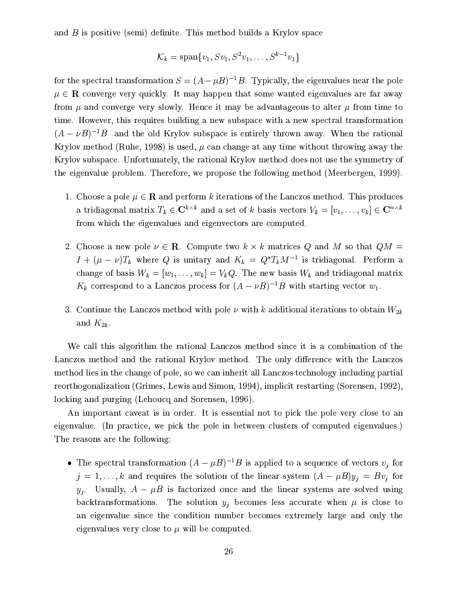and  $B$  is positive (semi) definite. This method builds a Krylov space

$$
\mathcal{K}_k = \text{span}\{v_1, Sv_1, S^2v_1, \dots, S^{k-1}v_1\}
$$

for the spectral transformation  $S = (A - \mu B)^{-1}B$ . Typically, the eigenvalues near the pole  $\mu \in \mathbb{R}$  converge very quickly. It may happen that some wanted eigenvalues are far away from  $\mu$  and converge very slowly. Hence it may be advantageous to alter  $\mu$  from time to time. However, this requires building a new subspace with a new spectral transformation  $(A - \nu B)^{-1}B$  and the old Krylov subspace is entirely thrown away. When the rational Krylov method (Ruhe, 1998) is used,  $\mu$  can change at any time without throwing away the Krylov subspace. Unfortunately, the rational Krylov method does not use the symmetry of the eigenvalue problem. Therefore, we propose the following method (Meerbergen, 1999).

- 1. Choose a pole  $\mu \in \mathbb{R}$  and perform k iterations of the Lanczos method. This produces a tridiagonal matrix  $T_k \in \mathbb{C}^{k \times k}$  and a set of k basis vectors  $V_k = [v_1, \ldots, v_k] \in \mathbb{C}^{n \times k}$ from which the eigenvalues and eigenvectors are computed.
- 2. Choose a new pole  $\nu \in \mathbb{R}$ . Compute two  $k \times k$  matrices Q and M so that  $QM =$  $I + (\mu - \nu)T_k$  where Q is unitary and  $K_k = Q^*T_kM^{-1}$  is tridiagonal. Perform a change of basis  $W_k = [w_1, \ldots, w_k] = V_k Q$ . The new basis  $W_k$  and tridiagonal matrix  $K_k$  correspond to a Lanczos process for  $(A - \nu B)^{-1}B$  with starting vector  $w_1$ .
- 3. Continue the Lanczos method with pole  $\nu$  with k additional iterations to obtain  $W_{2k}$ and  $K_{2k}$ .

We call this algorithm the rational Lanczos method since it is a combination of the Lanczos method and the rational Krylov method. The only difference with the Lanczos method lies in the change of pole, so we can inherit all Lanczos technology including partial reorthogonalization (Grimes, Lewis and Simon, 1994), implicit restarting (Sorensen, 1992), locking and purging (Lehoucq and Sorensen, 1996).

An important caveat is in order. It is essential not to pick the pole very close to an eigenvalue. (In practice, we pick the pole in between clusters of computed eigenvalues.) The reasons are the following:

• The spectral transformation  $(A - \mu B)^{-1}B$  is applied to a sequence of vectors  $v_i$  for  $j = 1, ..., k$  and requires the solution of the linear system  $(A - \mu B)y_j = Bv_j$  for  $y_i$ . Usually,  $A - \mu B$  is factorized once and the linear systems are solved using backtransformations. The solution  $y_i$  becomes less accurate when  $\mu$  is close to an eigenvalue since the condition number becomes extremely large and only the eigenvalues very close to  $\mu$  will be computed.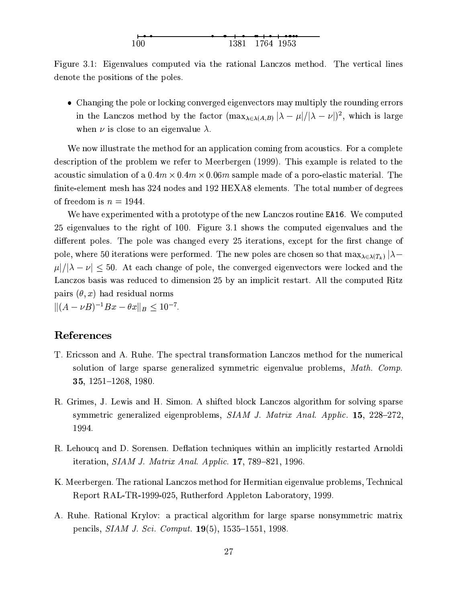Figure 3.1: Eigenvalues computed via the rational Lanczos method. The vertical lines denote the positions of the poles.

• Changing the pole or locking converged eigenvectors may multiply the rounding errors in the Lanczos method by the factor  $(\max_{\lambda \in \lambda(A,B)} |\lambda - \mu|/|\lambda - \nu|)^2$ , which is large when  $\nu$  is close to an eigenvalue  $\lambda$ .

We now illustrate the method for an application coming from acoustics. For a complete description of the problem we refer to Meerbergen (1999). This example is related to the acoustic simulation of a  $0.4m \times 0.4m \times 0.06m$  sample made of a poro-elastic material. The finite-element mesh has 324 nodes and 192 HEXA8 elements. The total number of degrees of freedom is  $n = 1944$ .

We have experimented with a prototype of the new Lanczos routine EA16. We computed 25 eigenvalues to the right of 100. Figure 3.1 shows the computed eigenvalues and the different poles. The pole was changed every 25 iterations, except for the first change of pole, where 50 iterations were performed. The new poles are chosen so that  $\max_{\lambda \in \lambda(T_k)} |\lambda \mu/|\lambda - \nu| \leq 50$ . At each change of pole, the converged eigenvectors were locked and the Lanczos basis was reduced to dimension 25 by an implicit restart. All the computed Ritz pairs  $(\theta, x)$  had residual norms  $||(A - \nu B)^{-1}Bx - \theta x||_B \leq 10^{-7}.$ 

### References

- T. Ericsson and A. Ruhe. The spectral transformation Lanczos method for the numerical solution of large sparse generalized symmetric eigenvalue problems, Math. Comp. 35, 1251-1268, 1980.
- R. Grimes, J. Lewis and H. Simon. A shifted block Lanczos algorithm for solving sparse symmetric generalized eigenproblems, SIAM J. Matrix Anal. Applic. 15, 228–272, 1994.
- R. Lehoucq and D. Sorensen. Deflation techniques within an implicitly restarted Arnoldi iteration,  $SIAM$  J. Matrix Anal. Applic. 17, 789-821, 1996.
- K. Meerbergen. The rational Lanczos method for Hermitian eigenvalue problems, Technical Report RAL-TR-1999-025, Rutherford Appleton Laboratory, 1999.
- A. Ruhe. Rational Krylov: a practical algorithm for large sparse nonsymmetric matrix pencils, *SIAM J. Sci. Comput.* **19**(5), 1535–1551, 1998.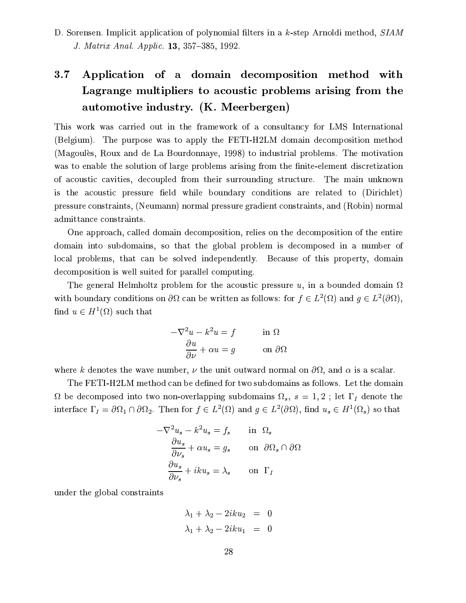D. Sorensen. Implicit application of polynomial filters in a k-step Arnoldi method, SIAM J. Matrix Anal. Applic. 13, 357–385, 1992.

# $3.7$ Application of a domain decomposition method with Lagrange multipliers to acoustic problems arising from the automotive industry. (K. Meerbergen)

This work was carried out in the framework of a consultancy for LMS International (Belgium). The purpose was to apply the FETI-H2LM domain decomposition method (Magoules, Roux and de La Bourdonnaye, 1998) to industrial problems. The motivation was to enable the solution of large problems arising from the finite-element discretization of acoustic cavities, decoupled from their surrounding structure. The main unknown is the acoustic pressure field while boundary conditions are related to (Dirichlet) pressure constraints, (Neumann) normal pressure gradient constraints, and (Robin) normal admittance constraints.

One approach, called domain decomposition, relies on the decomposition of the entire domain into subdomains, so that the global problem is decomposed in a number of local problems, that can be solved independently. Because of this property, domain decomposition is well suited for parallel computing.

The general Helmholtz problem for the acoustic pressure u, in a bounded domain  $\Omega$ with boundary conditions on  $\partial\Omega$  can be written as follows: for  $f \in L^2(\Omega)$  and  $g \in L^2(\partial\Omega)$ , find  $u \in H^1(\Omega)$  such that

$$
-\nabla^2 u - k^2 u = f \qquad \text{in } \Omega
$$

$$
\frac{\partial u}{\partial \nu} + \alpha u = g \qquad \text{on } \partial \Omega
$$

where k denotes the wave number,  $\nu$  the unit outward normal on  $\partial\Omega$ , and  $\alpha$  is a scalar.

The FETI-H2LM method can be defined for two subdomains as follows. Let the domain  $\Omega$  be decomposed into two non-overlapping subdomains  $\Omega_s$ ,  $s = 1,2$ ; let  $\Gamma_I$  denote the interface  $\Gamma_I = \partial \Omega_1 \cap \partial \Omega_2$ . Then for  $f \in L^2(\Omega)$  and  $g \in L^2(\partial \Omega)$ , find  $u_s \in H^1(\Omega_s)$  so that

$$
-\nabla^2 u_s - k^2 u_s = f_s \quad \text{in } \Omega_s
$$

$$
\frac{\partial u_s}{\partial \nu_s} + \alpha u_s = g_s \quad \text{on } \partial \Omega_s \cap \partial \Omega
$$

$$
\frac{\partial u_s}{\partial \nu_s} + iku_s = \lambda_s \quad \text{on } \Gamma_I
$$

under the global constraints

$$
\lambda_1 + \lambda_2 - 2iku_2 = 0
$$
  

$$
\lambda_1 + \lambda_2 - 2iku_1 = 0
$$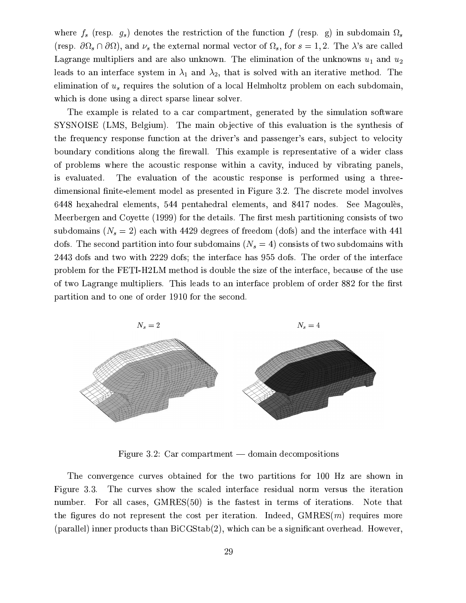where  $f_s$  (resp.  $g_s$ ) denotes the restriction of the function f (resp. g) in subdomain  $\Omega_s$ (resp.  $\partial\Omega_s \cap \partial\Omega$ ), and  $\nu_s$  the external normal vector of  $\Omega_s$ , for  $s = 1, 2$ . The  $\lambda$ 's are called Lagrange multipliers and are also unknown. The elimination of the unknowns  $u_1$  and  $u_2$ leads to an interface system in  $\lambda_1$  and  $\lambda_2$ , that is solved with an iterative method. The elimination of  $u_s$  requires the solution of a local Helmholtz problem on each subdomain, which is done using a direct sparse linear solver.

The example is related to a car compartment, generated by the simulation software SYSNOISE (LMS, Belgium). The main objective of this evaluation is the synthesis of the frequency response function at the driver's and passenger's ears, subject to velocity boundary conditions along the firewall. This example is representative of a wider class of problems where the acoustic response within a cavity, induced by vibrating panels, The evaluation of the acoustic response is performed using a threeis evaluated. dimensional finite-element model as presented in Figure 3.2. The discrete model involves 6448 hexahedral elements, 544 pentahedral elements, and 8417 nodes. See Magoulès, Meerbergen and Coyette (1999) for the details. The first mesh partitioning consists of two subdomains  $(N_s = 2)$  each with 4429 degrees of freedom (dofs) and the interface with 441 dofs. The second partition into four subdomains  $(N_s = 4)$  consists of two subdomains with 2443 dofs and two with 2229 dofs; the interface has 955 dofs. The order of the interface problem for the FETI-H2LM method is double the size of the interface, because of the use of two Lagrange multipliers. This leads to an interface problem of order 882 for the first partition and to one of order 1910 for the second.



Figure 3.2: Car compartment  $-$  domain decompositions

The convergence curves obtained for the two partitions for 100 Hz are shown in Figure 3.3. The curves show the scaled interface residual norm versus the iteration number. For all cases, GMRES(50) is the fastest in terms of iterations. Note that the figures do not represent the cost per iteration. Indeed,  $GMRES(m)$  requires more (parallel) inner products than BiCGStab(2), which can be a significant overhead. However,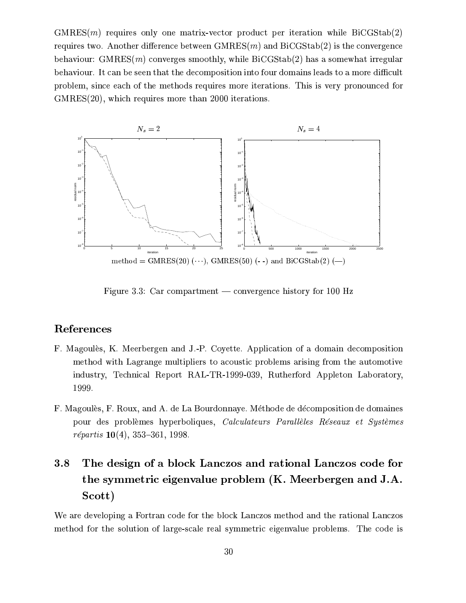$GMRES(m)$  requires only one matrix-vector product per iteration while  $BiCGStab(2)$ requires two. Another difference between  $GMRES(m)$  and  $BICGStab(2)$  is the convergence behaviour:  $GMRES(m)$  converges smoothly, while  $BiCGStab(2)$  has a somewhat irregular behaviour. It can be seen that the decomposition into four domains leads to a more difficult problem, since each of the methods requires more iterations. This is very pronounced for GMRES(20), which requires more than 2000 iterations.



Figure 3.3: Car compartment — convergence history for 100 Hz

# References

- F. Magoulès, K. Meerbergen and J.-P. Covette. Application of a domain decomposition method with Lagrange multipliers to acoustic problems arising from the automotive industry, Technical Report RAL-TR-1999-039, Rutherford Appleton Laboratory, 1999.
- F. Magoulès, F. Roux, and A. de La Bourdonnaye. Méthode de décomposition de domaines pour des problèmes hyperboliques, Calculateurs Parallèles Réseaux et Systèmes *répartis*  $10(4)$ , 353-361, 1998.

# 3.8 The design of a block Lanczos and rational Lanczos code for the symmetric eigenvalue problem (K. Meerbergen and J.A. Scott)

We are developing a Fortran code for the block Lanczos method and the rational Lanczos method for the solution of large-scale real symmetric eigenvalue problems. The code is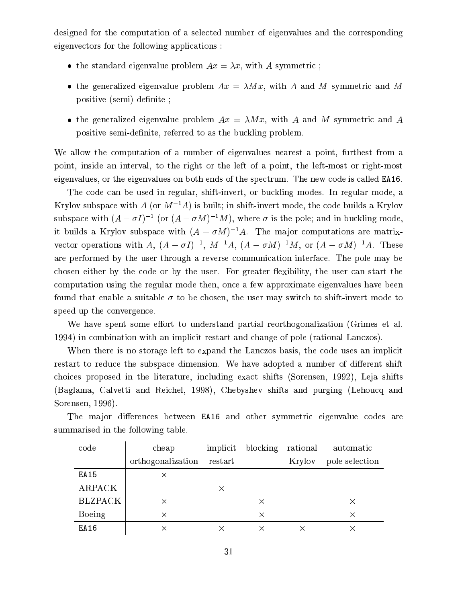designed for the computation of a selected number of eigenvalues and the corresponding eigenvectors for the following applications:

- the standard eigenvalue problem  $Ax = \lambda x$ , with A symmetric;
- the generalized eigenvalue problem  $Ax = \lambda Mx$ , with A and M symmetric and M positive (semi) definite;
- the generalized eigenvalue problem  $Ax = \lambda Mx$ , with A and M symmetric and A positive semi-definite, referred to as the buckling problem.

We allow the computation of a number of eigenvalues nearest a point, furthest from a point, inside an interval, to the right or the left of a point, the left-most or right-most eigenvalues, or the eigenvalues on both ends of the spectrum. The new code is called **EA16**.

The code can be used in regular, shift-invert, or buckling modes. In regular mode, a Krylov subspace with A (or  $M^{-1}A$ ) is built; in shift-invert mode, the code builds a Krylov subspace with  $(A - \sigma I)^{-1}$  (or  $(A - \sigma M)^{-1}M$ ), where  $\sigma$  is the pole; and in buckling mode, it builds a Krylov subspace with  $(A - \sigma M)^{-1}A$ . The major computations are matrixvector operations with A,  $(A - \sigma I)^{-1}$ ,  $M^{-1}A$ ,  $(A - \sigma M)^{-1}M$ , or  $(A - \sigma M)^{-1}A$ . These are performed by the user through a reverse communication interface. The pole may be chosen either by the code or by the user. For greater flexibility, the user can start the computation using the regular mode then, once a few approximate eigenvalues have been found that enable a suitable  $\sigma$  to be chosen, the user may switch to shift-invert mode to speed up the convergence.

We have spent some effort to understand partial reorthogonalization (Grimes et al. 1994) in combination with an implicit restart and change of pole (rational Lanczos).

When there is no storage left to expand the Lanczos basis, the code uses an implicit restart to reduce the subspace dimension. We have adopted a number of different shift choices proposed in the literature, including exact shifts (Sorensen, 1992), Leja shifts (Baglama, Calvetti and Reichel, 1998), Chebyshev shifts and purging (Lehoucq and Sorensen, 1996).

| code           | cheap             |          | implicit blocking rational |        | automatic      |
|----------------|-------------------|----------|----------------------------|--------|----------------|
|                | orthogonalization | restart  |                            | Krylov | pole selection |
| EA15           | X                 |          |                            |        |                |
| <b>ARPACK</b>  |                   | $\times$ |                            |        |                |
| <b>BLZPACK</b> | X                 |          | X                          |        | X              |
| Boeing         | $\times$          |          | $\times$                   |        | X              |
| EA16           | X                 |          |                            |        |                |

The major differences between EA16 and other symmetric eigenvalue codes are summarised in the following table.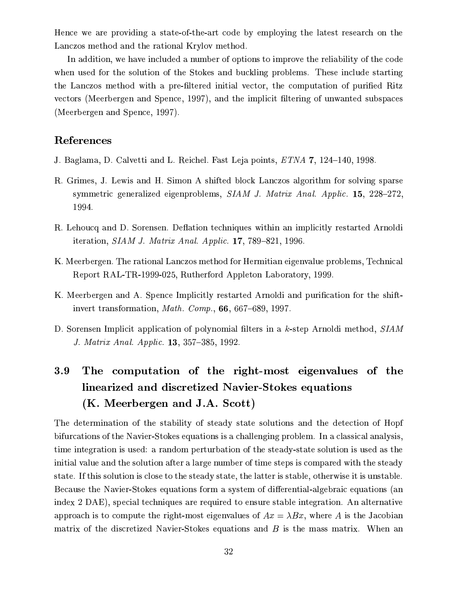Hence we are providing a state-of-the-art code by employing the latest research on the Lanczos method and the rational Krylov method.

In addition, we have included a number of options to improve the reliability of the code when used for the solution of the Stokes and buckling problems. These include starting the Lanczos method with a pre-filtered initial vector, the computation of purified Ritz vectors (Meerbergen and Spence, 1997), and the implicit filtering of unwanted subspaces (Meerbergen and Spence, 1997).

### References

- J. Baglama, D. Calvetti and L. Reichel. Fast Leja points, ETNA 7, 124-140, 1998.
- R. Grimes, J. Lewis and H. Simon A shifted block Lanczos algorithm for solving sparse symmetric generalized eigenproblems, SIAM J. Matrix Anal. Applic. 15, 228-272, 1994.
- R. Lehoucq and D. Sorensen. Deflation techniques within an implicitly restarted Arnoldi iteration, SIAM J. Matrix Anal. Applic. 17, 789-821, 1996.
- K. Meerbergen. The rational Lanczos method for Hermitian eigenvalue problems, Technical Report RAL-TR-1999-025, Rutherford Appleton Laboratory, 1999.
- K. Meerbergen and A. Spence Implicitly restarted Arnoldi and purification for the shiftinvert transformation, *Math. Comp.*,  $66, 667-689, 1997$ .
- D. Sorensen Implicit application of polynomial filters in a k-step Arnoldi method, SIAM J. Matrix Anal. Applic. 13, 357–385, 1992.

# The computation of the right-most eigenvalues of the 3.9 linearized and discretized Navier-Stokes equations (K. Meerbergen and J.A. Scott)

The determination of the stability of steady state solutions and the detection of Hopf bifurcations of the Navier-Stokes equations is a challenging problem. In a classical analysis, time integration is used: a random perturbation of the steady-state solution is used as the initial value and the solution after a large number of time steps is compared with the steady state. If this solution is close to the steady state, the latter is stable, otherwise it is unstable. Because the Navier-Stokes equations form a system of differential-algebraic equations (an index 2 DAE), special techniques are required to ensure stable integration. An alternative approach is to compute the right-most eigenvalues of  $Ax = \lambda Bx$ , where A is the Jacobian matrix of the discretized Navier-Stokes equations and B is the mass matrix. When an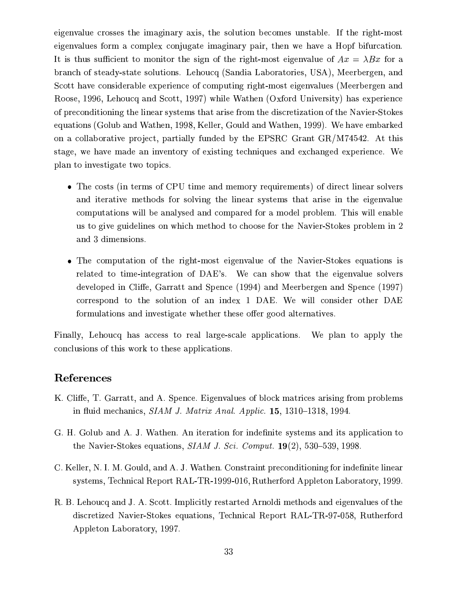eigenvalue crosses the imaginary axis, the solution becomes unstable. If the right-most eigenvalues form a complex conjugate imaginary pair, then we have a Hopf bifurcation. It is thus sufficient to monitor the sign of the right-most eigenvalue of  $Ax = \lambda Bx$  for a branch of steady-state solutions. Lehoucq (Sandia Laboratories, USA), Meerbergen, and Scott have considerable experience of computing right-most eigenvalues (Meerbergen and Roose, 1996, Lehoucq and Scott, 1997) while Wathen (Oxford University) has experience of preconditioning the linear systems that arise from the discretization of the Navier-Stokes equations (Golub and Wathen, 1998, Keller, Gould and Wathen, 1999). We have embarked on a collaborative project, partially funded by the EPSRC Grant GR/M74542. At this stage, we have made an inventory of existing techniques and exchanged experience. We plan to investigate two topics.

- The costs (in terms of CPU time and memory requirements) of direct linear solvers and iterative methods for solving the linear systems that arise in the eigenvalue computations will be analysed and compared for a model problem. This will enable us to give guidelines on which method to choose for the Navier-Stokes problem in 2 and 3 dimensions.
- The computation of the right-most eigenvalue of the Navier-Stokes equations is related to time-integration of DAE's. We can show that the eigenvalue solvers developed in Cliffe, Garratt and Spence (1994) and Meerbergen and Spence (1997) correspond to the solution of an index 1 DAE. We will consider other DAE formulations and investigate whether these offer good alternatives.

Finally, Lehoucq has access to real large-scale applications. We plan to apply the conclusions of this work to these applications.

### References

- K. Cliffe, T. Garratt, and A. Spence. Eigenvalues of block matrices arising from problems in fluid mechanics, SIAM J. Matrix Anal. Applic. 15, 1310-1318, 1994.
- G. H. Golub and A. J. Wathen. An iteration for indefinite systems and its application to the Navier-Stokes equations,  $SIAMJ.$  Sci. Comput. 19(2), 530–539, 1998.
- C. Keller, N. I. M. Gould, and A. J. Wathen. Constraint preconditioning for indefinite linear systems, Technical Report RAL-TR-1999-016, Rutherford Appleton Laboratory, 1999.
- R. B. Lehoucq and J. A. Scott. Implicitly restarted Arnoldi methods and eigenvalues of the discretized Navier-Stokes equations, Technical Report RAL-TR-97-058, Rutherford Appleton Laboratory, 1997.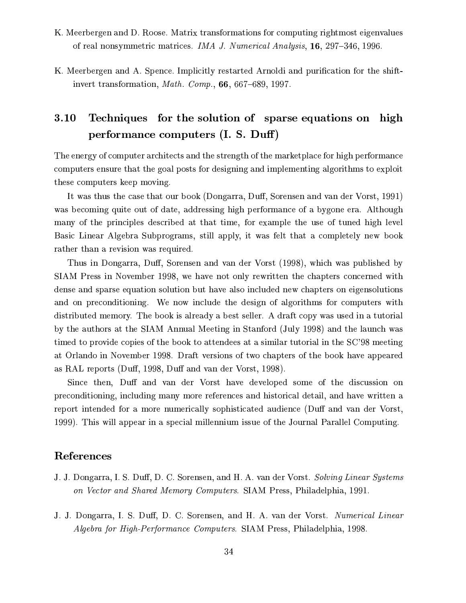- K. Meerbergen and D. Roose. Matrix transformations for computing rightmost eigenvalues of real nonsymmetric matrices. IMA J. Numerical Analysis, 16, 297-346, 1996.
- K. Meerbergen and A. Spence. Implicitly restarted Arnoldi and purification for the shiftinvert transformation, *Math. Comp.*,  $66, 667-689, 1997$ .

### Techniques for the solution of sparse equations on high 3.10 performance computers (I. S. Duff)

The energy of computer architects and the strength of the marketplace for high performance computers ensure that the goal posts for designing and implementing algorithms to exploit these computers keep moving.

It was thus the case that our book (Dongarra, Duff, Sorensen and van der Vorst, 1991) was becoming quite out of date, addressing high performance of a bygone era. Although many of the principles described at that time, for example the use of tuned high level Basic Linear Algebra Subprograms, still apply, it was felt that a completely new book rather than a revision was required.

Thus in Dongarra, Duff, Sorensen and van der Vorst (1998), which was published by SIAM Press in November 1998, we have not only rewritten the chapters concerned with dense and sparse equation solution but have also included new chapters on eigensolutions and on preconditioning. We now include the design of algorithms for computers with distributed memory. The book is already a best seller. A draft copy was used in a tutorial by the authors at the SIAM Annual Meeting in Stanford (July 1998) and the launch was timed to provide copies of the book to attendees at a similar tutorial in the SC'98 meeting at Orlando in November 1998. Draft versions of two chapters of the book have appeared as RAL reports (Duff, 1998, Duff and van der Vorst, 1998).

Since then, Duff and van der Vorst have developed some of the discussion on preconditioning, including many more references and historical detail, and have written a report intended for a more numerically sophisticated audience (Duff and van der Vorst, 1999). This will appear in a special millennium issue of the Journal Parallel Computing.

# References

- J. J. Dongarra, I. S. Duff, D. C. Sorensen, and H. A. van der Vorst. Solving Linear Systems on Vector and Shared Memory Computers. SIAM Press, Philadelphia, 1991.
- J. J. Dongarra, I. S. Duff, D. C. Sorensen, and H. A. van der Vorst. Numerical Linear Algebra for High-Performance Computers. SIAM Press, Philadelphia, 1998.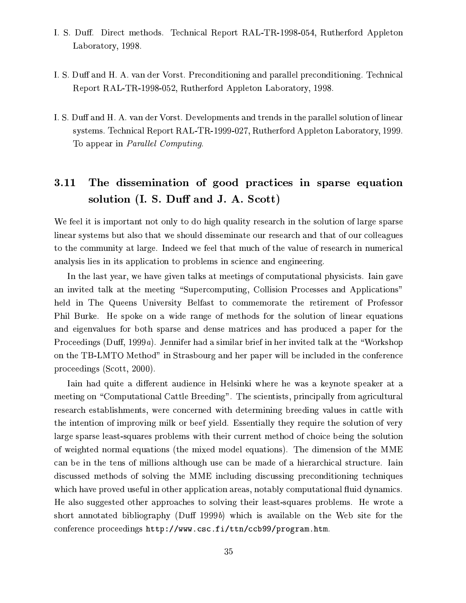- I. S. Duff. Direct methods. Technical Report RAL-TR-1998-054, Rutherford Appleton Laboratory, 1998.
- I. S. Duff and H. A. van der Vorst. Preconditioning and parallel preconditioning. Technical Report RAL-TR-1998-052, Rutherford Appleton Laboratory, 1998.
- I. S. Duff and H. A. van der Vorst. Developments and trends in the parallel solution of linear systems. Technical Report RAL-TR-1999-027, Rutherford Appleton Laboratory, 1999. To appear in *Parallel Computing*.

#### $3.11$ The dissemination of good practices in sparse equation solution (I. S. Duff and J. A. Scott)

We feel it is important not only to do high quality research in the solution of large sparse linear systems but also that we should disseminate our research and that of our colleagues to the community at large. Indeed we feel that much of the value of research in numerical analysis lies in its application to problems in science and engineering.

In the last year, we have given talks at meetings of computational physicists. Iain gave an invited talk at the meeting "Supercomputing, Collision Processes and Applications" held in The Queens University Belfast to commemorate the retirement of Professor Phil Burke. He spoke on a wide range of methods for the solution of linear equations and eigenvalues for both sparse and dense matrices and has produced a paper for the Proceedings (Duff, 1999a). Jennifer had a similar brief in her invited talk at the "Workshop" on the TB-LMTO Method" in Strasbourg and her paper will be included in the conference proceedings (Scott, 2000).

Iain had quite a different audience in Helsinki where he was a keynote speaker at a meeting on "Computational Cattle Breeding". The scientists, principally from agricultural research establishments, were concerned with determining breeding values in cattle with the intention of improving milk or beef yield. Essentially they require the solution of very large sparse least-squares problems with their current method of choice being the solution of weighted normal equations (the mixed model equations). The dimension of the MME can be in the tens of millions although use can be made of a hierarchical structure. Iain discussed methods of solving the MME including discussing preconditioning techniques which have proved useful in other application areas, notably computational fluid dynamics. He also suggested other approaches to solving their least-squares problems. He wrote a short annotated bibliography (Duff 1999b) which is available on the Web site for the conference proceedings http://www.csc.fi/ttn/ccb99/program.htm.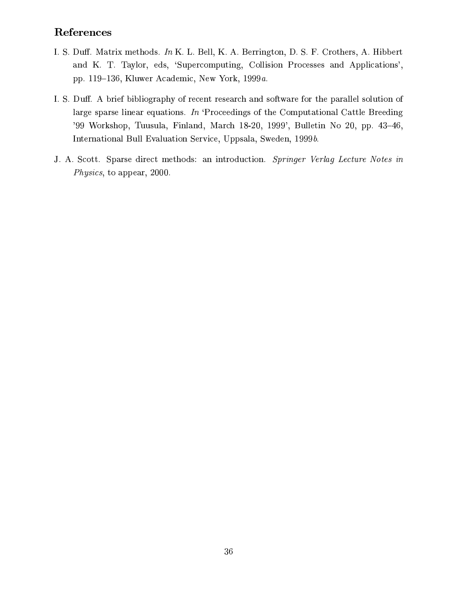# References

- I. S. Duff. Matrix methods. In K. L. Bell, K. A. Berrington, D. S. F. Crothers, A. Hibbert and K. T. Taylor, eds, 'Supercomputing, Collision Processes and Applications', pp. 119-136, Kluwer Academic, New York, 1999a.
- I. S. Duff. A brief bibliography of recent research and software for the parallel solution of large sparse linear equations. In 'Proceedings of the Computational Cattle Breeding '99 Workshop, Tuusula, Finland, March 18-20, 1999', Bulletin No 20, pp. 43-46, International Bull Evaluation Service, Uppsala, Sweden, 1999b.
- J. A. Scott. Sparse direct methods: an introduction. Springer Verlag Lecture Notes in *Physics*, to appear, 2000.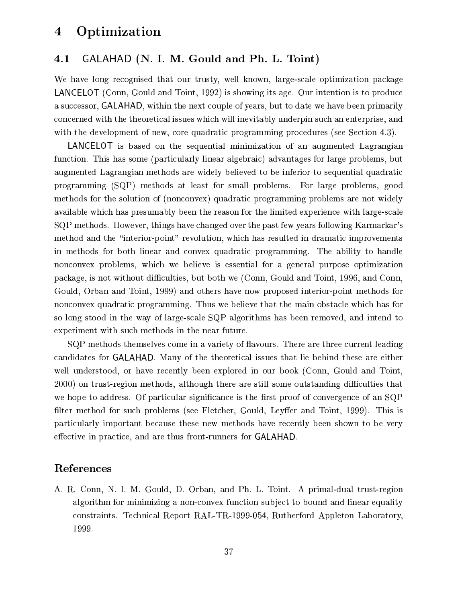#### Optimization  $\boldsymbol{4}$

#### GALAHAD (N. I. M. Gould and Ph. L. Toint) 4.1

We have long recognised that our trusty, well known, large-scale optimization package **LANCELOT** (Conn, Gould and Toint, 1992) is showing its age. Our intention is to produce a successor, GALAHAD, within the next couple of years, but to date we have been primarily concerned with the theoretical issues which will inevitably underpin such an enterprise, and with the development of new, core quadratic programming procedures (see Section 4.3).

LANCELOT is based on the sequential minimization of an augmented Lagrangian function. This has some (particularly linear algebraic) advantages for large problems, but augmented Lagrangian methods are widely believed to be inferior to sequential quadratic programming (SQP) methods at least for small problems. For large problems, good methods for the solution of (nonconvex) quadratic programming problems are not widely available which has presumably been the reason for the limited experience with large-scale SQP methods. However, things have changed over the past few years following Karmarkar's method and the "interior-point" revolution, which has resulted in dramatic improvements in methods for both linear and convex quadratic programming. The ability to handle nonconvex problems, which we believe is essential for a general purpose optimization package, is not without difficulties, but both we (Conn, Gould and Toint, 1996, and Conn, Gould, Orban and Toint, 1999) and others have now proposed interior-point methods for nonconvex quadratic programming. Thus we believe that the main obstacle which has for so long stood in the way of large-scale SQP algorithms has been removed, and intend to experiment with such methods in the near future.

SQP methods themselves come in a variety of flavours. There are three current leading candidates for GALAHAD. Many of the theoretical issues that lie behind these are either well understood, or have recently been explored in our book (Conn, Gould and Toint, 2000) on trust-region methods, although there are still some outstanding difficulties that we hope to address. Of particular significance is the first proof of convergence of an SQP filter method for such problems (see Fletcher, Gould, Leyffer and Toint, 1999). This is particularly important because these new methods have recently been shown to be very effective in practice, and are thus front-runners for GALAHAD.

## References

A. R. Conn, N. I. M. Gould, D. Orban, and Ph. L. Toint. A primal-dual trust-region algorithm for minimizing a non-convex function subject to bound and linear equality constraints. Technical Report RAL-TR-1999-054, Rutherford Appleton Laboratory, 1999.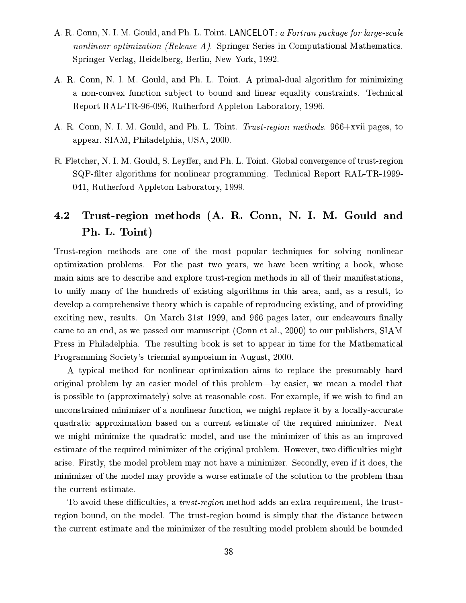- A. R. Conn, N. I. M. Gould, and Ph. L. Toint. LANCELOT: a Fortran package for large-scale nonlinear optimization (Release A). Springer Series in Computational Mathematics. Springer Verlag, Heidelberg, Berlin, New York, 1992.
- A. R. Conn, N. I. M. Gould, and Ph. L. Toint. A primal-dual algorithm for minimizing a non-convex function subject to bound and linear equality constraints. Technical Report RAL-TR-96-096, Rutherford Appleton Laboratory, 1996.
- A. R. Conn, N. I. M. Gould, and Ph. L. Toint. Trust-region methods. 966+xvii pages, to appear. SIAM, Philadelphia, USA, 2000.
- R. Fletcher, N. I. M. Gould, S. Leyffer, and Ph. L. Toint. Global convergence of trust-region SQP-filter algorithms for nonlinear programming. Technical Report RAL-TR-1999-041, Rutherford Appleton Laboratory, 1999.

### Trust-region methods (A. R. Conn, N. I. M. Gould and 4.2 Ph. L. Toint)

Trust-region methods are one of the most popular techniques for solving nonlinear optimization problems. For the past two years, we have been writing a book, whose main aims are to describe and explore trust-region methods in all of their manifestations, to unify many of the hundreds of existing algorithms in this area, and, as a result, to develop a comprehensive theory which is capable of reproducing existing, and of providing exciting new, results. On March 31st 1999, and 966 pages later, our endeavours finally came to an end, as we passed our manuscript (Conn et al., 2000) to our publishers, SIAM Press in Philadelphia. The resulting book is set to appear in time for the Mathematical Programming Society's triennial symposium in August, 2000.

A typical method for nonlinear optimization aims to replace the presumably hard original problem by an easier model of this problem—by easier, we mean a model that is possible to (approximately) solve at reasonable cost. For example, if we wish to find an unconstrained minimizer of a nonlinear function, we might replace it by a locally-accurate quadratic approximation based on a current estimate of the required minimizer. Next we might minimize the quadratic model, and use the minimizer of this as an improved estimate of the required minimizer of the original problem. However, two difficulties might arise. Firstly, the model problem may not have a minimizer. Secondly, even if it does, the minimizer of the model may provide a worse estimate of the solution to the problem than the current estimate.

To avoid these difficulties, a *trust-region* method adds an extra requirement, the trustregion bound, on the model. The trust-region bound is simply that the distance between the current estimate and the minimizer of the resulting model problem should be bounded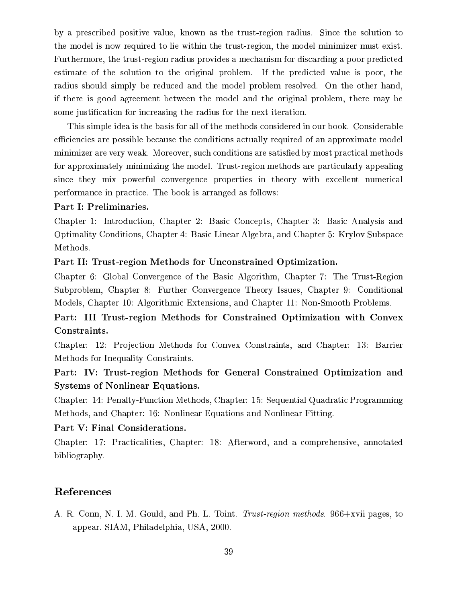by a prescribed positive value, known as the trust-region radius. Since the solution to the model is now required to lie within the trust-region, the model minimizer must exist. Furthermore, the trust-region radius provides a mechanism for discarding a poor predicted estimate of the solution to the original problem. If the predicted value is poor, the radius should simply be reduced and the model problem resolved. On the other hand, if there is good agreement between the model and the original problem, there may be some justification for increasing the radius for the next iteration.

This simple idea is the basis for all of the methods considered in our book. Considerable efficiencies are possible because the conditions actually required of an approximate model minimizer are very weak. Moreover, such conditions are satisfied by most practical methods for approximately minimizing the model. Trust-region methods are particularly appealing since they mix powerful convergence properties in theory with excellent numerical performance in practice. The book is arranged as follows:

#### Part I: Preliminaries.

Chapter 1: Introduction, Chapter 2: Basic Concepts, Chapter 3: Basic Analysis and Optimality Conditions, Chapter 4: Basic Linear Algebra, and Chapter 5: Krylov Subspace Methods.

### Part II: Trust-region Methods for Unconstrained Optimization.

Chapter 6: Global Convergence of the Basic Algorithm, Chapter 7: The Trust-Region Subproblem, Chapter 8: Further Convergence Theory Issues, Chapter 9: Conditional Models, Chapter 10: Algorithmic Extensions, and Chapter 11: Non-Smooth Problems.

Part: III Trust-region Methods for Constrained Optimization with Convex Constraints.

Chapter: 12: Projection Methods for Convex Constraints, and Chapter: 13: Barrier Methods for Inequality Constraints.

# Part: IV: Trust-region Methods for General Constrained Optimization and **Systems of Nonlinear Equations.**

Chapter: 14: Penalty-Function Methods, Chapter: 15: Sequential Quadratic Programming Methods, and Chapter: 16: Nonlinear Equations and Nonlinear Fitting.

### Part V: Final Considerations.

Chapter: 17: Practicalities, Chapter: 18: Afterword, and a comprehensive, annotated bibliography.

## References

A. R. Conn, N. I. M. Gould, and Ph. L. Toint. Trust-region methods. 966+xvii pages, to appear. SIAM, Philadelphia, USA, 2000.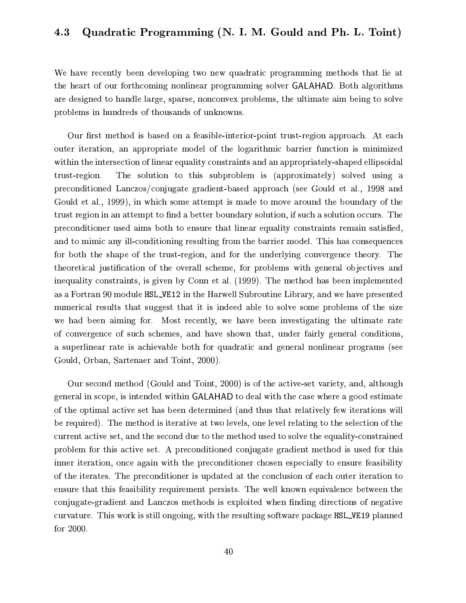#### Quadratic Programming (N. I. M. Gould and Ph. L. Toint)  $\boldsymbol{4.3}$

We have recently been developing two new quadratic programming methods that lie at the heart of our forthcoming nonlinear programming solver GALAHAD. Both algorithms are designed to handle large, sparse, nonconvex problems, the ultimate aim being to solve problems in hundreds of thousands of unknowns.

Our first method is based on a feasible-interior-point trust-region approach. At each outer iteration, an appropriate model of the logarithmic barrier function is minimized within the intersection of linear equality constraints and an appropriately-shaped ellipsoidal The solution to this subproblem is (approximately) solved using a trust-region. preconditioned Lanczos/conjugate gradient-based approach (see Gould et al., 1998 and Gould et al., 1999), in which some attempt is made to move around the boundary of the trust region in an attempt to find a better boundary solution, if such a solution occurs. The preconditioner used aims both to ensure that linear equality constraints remain satisfied, and to mimic any ill-conditioning resulting from the barrier model. This has consequences for both the shape of the trust-region, and for the underlying convergence theory. The theoretical justification of the overall scheme, for problems with general objectives and inequality constraints, is given by Conn et al. (1999). The method has been implemented as a Fortran 90 module HSL\_VE12 in the Harwell Subroutine Library, and we have presented numerical results that suggest that it is indeed able to solve some problems of the size we had been aiming for. Most recently, we have been investigating the ultimate rate of convergence of such schemes, and have shown that, under fairly general conditions, a superlinear rate is achievable both for quadratic and general nonlinear programs (see Gould, Orban, Sartenaer and Toint, 2000).

Our second method (Gould and Toint, 2000) is of the active-set variety, and, although general in scope, is intended within GALAHAD to deal with the case where a good estimate of the optimal active set has been determined (and thus that relatively few iterations will be required). The method is iterative at two levels, one level relating to the selection of the current active set, and the second due to the method used to solve the equality-constrained problem for this active set. A preconditioned conjugate gradient method is used for this inner iteration, once again with the preconditioner chosen especially to ensure feasibility of the iterates. The preconditioner is updated at the conclusion of each outer iteration to ensure that this feasibility requirement persists. The well known equivalence between the conjugate-gradient and Lanczos methods is exploited when finding directions of negative curvature. This work is still ongoing, with the resulting software package HSL\_VE19 planned for  $2000$ .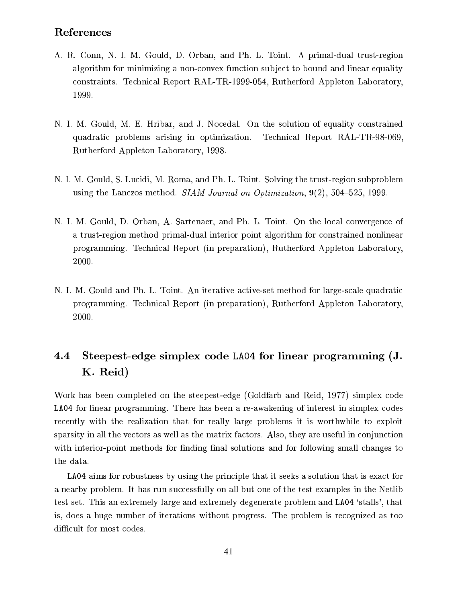# References

- A. R. Conn, N. I. M. Gould, D. Orban, and Ph. L. Toint. A primal-dual trust-region algorithm for minimizing a non-convex function subject to bound and linear equality constraints. Technical Report RAL-TR-1999-054, Rutherford Appleton Laboratory, 1999.
- N. I. M. Gould, M. E. Hribar, and J. Nocedal. On the solution of equality constrained quadratic problems arising in optimization. Technical Report RAL-TR-98-069, Rutherford Appleton Laboratory, 1998.
- N. I. M. Gould, S. Lucidi, M. Roma, and Ph. L. Toint. Solving the trust-region subproblem using the Lanczos method. SIAM Journal on Optimization,  $9(2)$ , 504–525, 1999.
- N. I. M. Gould, D. Orban, A. Sartenaer, and Ph. L. Toint. On the local convergence of a trust-region method primal-dual interior point algorithm for constrained nonlinear programming. Technical Report (in preparation), Rutherford Appleton Laboratory, 2000.
- N. I. M. Gould and Ph. L. Toint. An iterative active-set method for large-scale quadratic programming. Technical Report (in preparation), Rutherford Appleton Laboratory, 2000.

#### 4.4 Steepest-edge simplex code LA04 for linear programming (J. K. Reid)

Work has been completed on the steepest-edge (Goldfarb and Reid, 1977) simplex code LA04 for linear programming. There has been a re-awakening of interest in simplex codes recently with the realization that for really large problems it is worthwhile to exploit sparsity in all the vectors as well as the matrix factors. Also, they are useful in conjunction with interior-point methods for finding final solutions and for following small changes to the data.

LA04 aims for robustness by using the principle that it seeks a solution that is exact for a nearby problem. It has run successfully on all but one of the test examples in the Netlib test set. This an extremely large and extremely degenerate problem and LA04 'stalls', that is, does a huge number of iterations without progress. The problem is recognized as too difficult for most codes.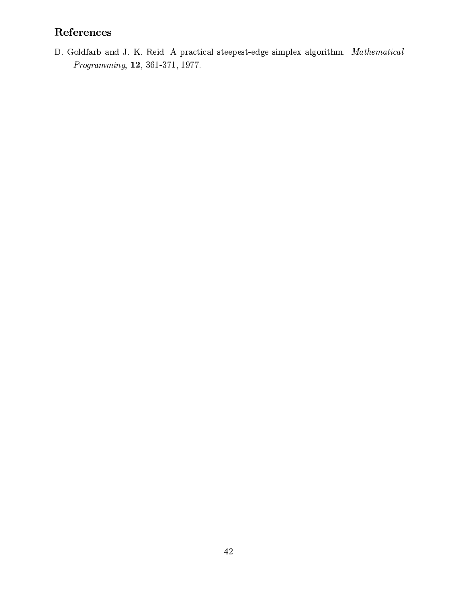# References

D. Goldfarb and J. K. Reid A practical steepest-edge simplex algorithm. Mathematical  $Programming, 12, 361-371, 1977.$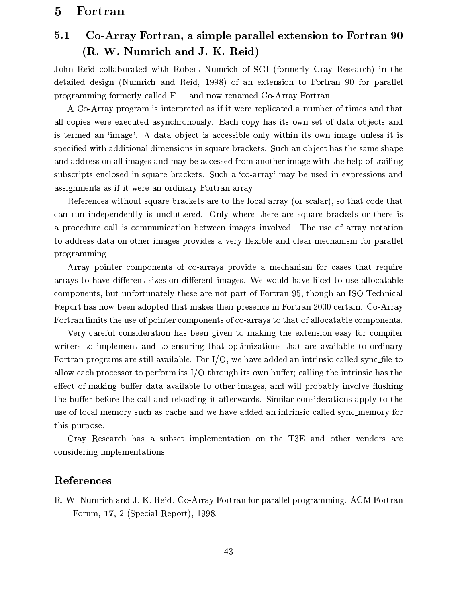#### Fortran  $\bf{5}$

#### Co-Array Fortran, a simple parallel extension to Fortran 90  $5.1$ (R. W. Numrich and J. K. Reid)

John Reid collaborated with Robert Numrich of SGI (formerly Cray Research) in the detailed design (Numrich and Reid, 1998) of an extension to Fortran 90 for parallel programming formerly called  $F^{--}$  and now renamed Co-Array Fortran.

A Co-Array program is interpreted as if it were replicated a number of times and that all copies were executed asynchronously. Each copy has its own set of data objects and is termed an 'image'. A data object is accessible only within its own image unless it is specified with additional dimensions in square brackets. Such an object has the same shape and address on all images and may be accessed from another image with the help of trailing subscripts enclosed in square brackets. Such a 'co-array' may be used in expressions and assignments as if it were an ordinary Fortran array.

References without square brackets are to the local array (or scalar), so that code that can run independently is uncluttered. Only where there are square brackets or there is a procedure call is communication between images involved. The use of array notation to address data on other images provides a very flexible and clear mechanism for parallel programming.

Array pointer components of co-arrays provide a mechanism for cases that require arrays to have different sizes on different images. We would have liked to use allocatable components, but unfortunately these are not part of Fortran 95, though an ISO Technical Report has now been adopted that makes their presence in Fortran 2000 certain. Co-Array Fortran limits the use of pointer components of co-arrays to that of allocatable components.

Very careful consideration has been given to making the extension easy for compiler writers to implement and to ensuring that optimizations that are available to ordinary Fortran programs are still available. For  $I/O$ , we have added an intrinsic called sync\_file to allow each processor to perform its  $I/O$  through its own buffer; calling the intrinsic has the effect of making buffer data available to other images, and will probably involve flushing the buffer before the call and reloading it afterwards. Similar considerations apply to the use of local memory such as cache and we have added an intrinsic called sync\_memory for this purpose.

Cray Research has a subset implementation on the T3E and other vendors are considering implementations.

## References

R. W. Numrich and J. K. Reid. Co-Array Fortran for parallel programming. ACM Fortran Forum,  $17, 2$  (Special Report), 1998.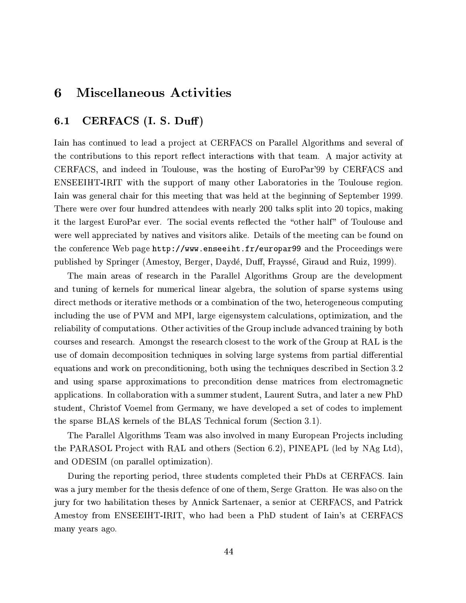#### **Miscellaneous Activities** 6

#### CERFACS (I. S. Duff)  $6.1$

Iain has continued to lead a project at CERFACS on Parallel Algorithms and several of the contributions to this report reflect interactions with that team. A major activity at CERFACS, and indeed in Toulouse, was the hosting of EuroPar'99 by CERFACS and ENSEEIHT-IRIT with the support of many other Laboratories in the Toulouse region. Iain was general chair for this meeting that was held at the beginning of September 1999. There were over four hundred attendees with nearly 200 talks split into 20 topics, making it the largest EuroPar ever. The social events reflected the "other half" of Toulouse and were well appreciated by natives and visitors alike. Details of the meeting can be found on the conference Web page  $http://www.enseeiht.fr/europar99$  and the Proceedings were published by Springer (Amestoy, Berger, Daydé, Duff, Frayssé, Giraud and Ruiz, 1999).

The main areas of research in the Parallel Algorithms Group are the development and tuning of kernels for numerical linear algebra, the solution of sparse systems using direct methods or iterative methods or a combination of the two, heterogeneous computing including the use of PVM and MPI, large eigensystem calculations, optimization, and the reliability of computations. Other activities of the Group include advanced training by both courses and research. Amongst the research closest to the work of the Group at RAL is the use of domain decomposition techniques in solving large systems from partial differential equations and work on preconditioning, both using the techniques described in Section 3.2 and using sparse approximations to precondition dense matrices from electromagnetic applications. In collaboration with a summer student, Laurent Sutra, and later a new PhD student, Christof Voemel from Germany, we have developed a set of codes to implement the sparse BLAS kernels of the BLAS Technical forum (Section 3.1).

The Parallel Algorithms Team was also involved in many European Projects including the PARASOL Project with RAL and others (Section 6.2), PINEAPL (led by NAg Ltd), and ODESIM (on parallel optimization).

During the reporting period, three students completed their PhDs at CERFACS. Iain was a jury member for the thesis defence of one of them, Serge Gratton. He was also on the jury for two habilitation theses by Annick Sartenaer, a senior at CERFACS, and Patrick Amestoy from ENSEEIHT-IRIT, who had been a PhD student of Iain's at CERFACS many years ago.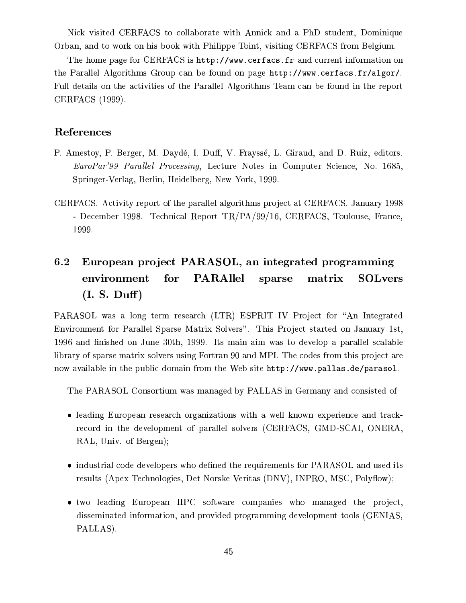Nick visited CERFACS to collaborate with Annick and a PhD student, Dominique Orban, and to work on his book with Philippe Toint, visiting CERFACS from Belgium.

The home page for CERFACS is http://www.cerfacs.fr and current information on the Parallel Algorithms Group can be found on page http://www.cerfacs.fr/algor/. Full details on the activities of the Parallel Algorithms Team can be found in the report CERFACS (1999).

## References

- P. Amestoy, P. Berger, M. Daydé, I. Duff, V. Frayssé, L. Giraud, and D. Ruiz, editors. EuroPar'99 Parallel Processing, Lecture Notes in Computer Science, No. 1685, Springer-Verlag, Berlin, Heidelberg, New York, 1999.
- CERFACS. Activity report of the parallel algorithms project at CERFACS. January 1998 - December 1998. Technical Report TR/PA/99/16, CERFACS, Toulouse, France, 1999.

#### European project PARASOL, an integrated programming  $6.2\,$ **PARAllel** environment  ${\rm for}$ sparse matrix **SOLvers**  $(I. S. Duff)$

PARASOL was a long term research (LTR) ESPRIT IV Project for "An Integrated Environment for Parallel Sparse Matrix Solvers". This Project started on January 1st, 1996 and finished on June 30th, 1999. Its main aim was to develop a parallel scalable library of sparse matrix solvers using Fortran 90 and MPI. The codes from this project are now available in the public domain from the Web site http://www.pallas.de/parasol.

The PARASOL Consortium was managed by PALLAS in Germany and consisted of

- leading European research organizations with a well known experience and trackrecord in the development of parallel solvers (CERFACS, GMD-SCAI, ONERA, RAL, Univ. of Bergen);
- industrial code developers who defined the requirements for PARASOL and used its results (Apex Technologies, Det Norske Veritas (DNV), INPRO, MSC, Polyflow);
- · two leading European HPC software companies who managed the project, disseminated information, and provided programming development tools (GENIAS, PALLAS).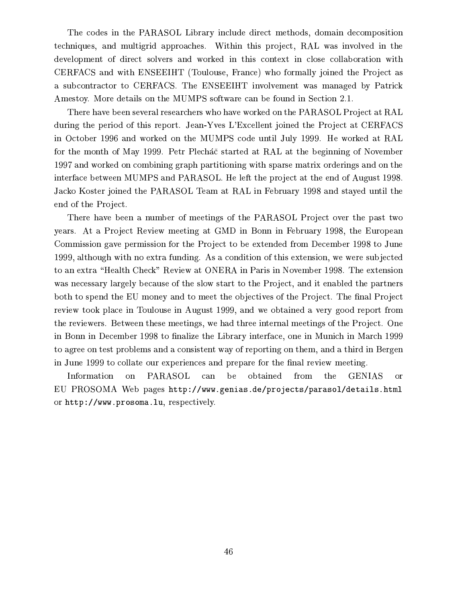The codes in the PARASOL Library include direct methods, domain decomposition techniques, and multigrid approaches. Within this project, RAL was involved in the development of direct solvers and worked in this context in close collaboration with CERFACS and with ENSEEIHT (Toulouse, France) who formally joined the Project as a subcontractor to CERFACS. The ENSEEIHT involvement was managed by Patrick Amestoy. More details on the MUMPS software can be found in Section 2.1.

There have been several researchers who have worked on the PARASOL Project at RAL during the period of this report. Jean-Yves L'Excellent joined the Project at CERFACS in October 1996 and worked on the MUMPS code until July 1999. He worked at RAL for the month of May 1999. Petr Plecha e started at RAL at the beginning of November 1997 and worked on combining graph partitioning with sparse matrix orderings and on the interface between MUMPS and PARASOL. He left the project at the end of August 1998. Jacko Koster joined the PARASOL Team at RAL in February 1998 and stayed until the end of the Project.

There have been a number of meetings of the PARASOL Project over the past two years. At a Project Review meeting at GMD in Bonn in February 1998, the European Commission gave permission for the Project to be extended from December 1998 to June 1999, although with no extra funding. As a condition of this extension, we were subjected to an extra "Health Check" Review at ONERA in Paris in November 1998. The extension was necessary largely because of the slow start to the Project, and it enabled the partners both to spend the EU money and to meet the objectives of the Project. The final Project review took place in Toulouse in August 1999, and we obtained a very good report from the reviewers. Between these meetings, we had three internal meetings of the Project. One in Bonn in December 1998 to finalize the Library interface, one in Munich in March 1999 to agree on test problems and a consistent way of reporting on them, and a third in Bergen in June 1999 to collate our experiences and prepare for the final review meeting.

Information on PARASOL  $can$ be obtained from the **GENIAS or** EU PROSOMA Web pages http://www.genias.de/projects/parasol/details.html or http://www.prosoma.lu, respectively.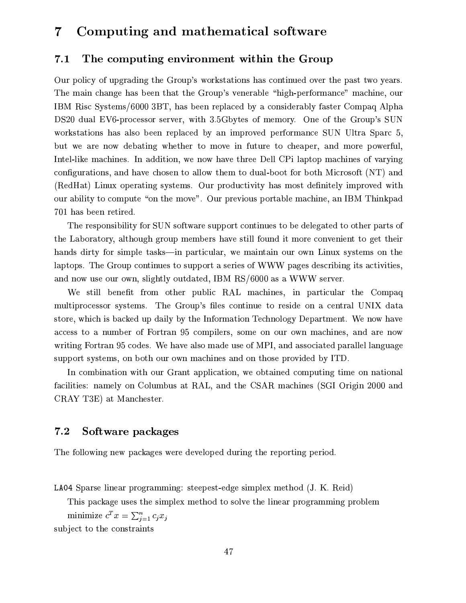#### Computing and mathematical software  $\overline{7}$

#### The computing environment within the Group  $7.1$

Our policy of upgrading the Group's workstations has continued over the past two years. The main change has been that the Group's venerable "high-performance" machine, our IBM Risc Systems/6000 3BT, has been replaced by a considerably faster Compaq Alpha DS20 dual EV6-processor server, with 3.5Gbytes of memory. One of the Group's SUN workstations has also been replaced by an improved performance SUN Ultra Sparc 5, but we are now debating whether to move in future to cheaper, and more powerful, Intel-like machines. In addition, we now have three Dell CPi laptop machines of varying configurations, and have chosen to allow them to dual-boot for both Microsoft (NT) and (RedHat) Linux operating systems. Our productivity has most definitely improved with our ability to compute "on the move". Our previous portable machine, an IBM Thinkpad 701 has been retired.

The responsibility for SUN software support continues to be delegated to other parts of the Laboratory, although group members have still found it more convenient to get their hands dirty for simple tasks—in particular, we maintain our own Linux systems on the laptops. The Group continues to support a series of WWW pages describing its activities, and now use our own, slightly outdated, IBM RS/6000 as a WWW server.

We still benefit from other public RAL machines, in particular the Compaq multiprocessor systems. The Group's files continue to reside on a central UNIX data store, which is backed up daily by the Information Technology Department. We now have access to a number of Fortran 95 compilers, some on our own machines, and are now writing Fortran 95 codes. We have also made use of MPI, and associated parallel language support systems, on both our own machines and on those provided by ITD.

In combination with our Grant application, we obtained computing time on national facilities: namely on Columbus at RAL, and the CSAR machines (SGI Origin 2000 and CRAY T3E) at Manchester.

#### $7.2$ Software packages

The following new packages were developed during the reporting period.

LA04 Sparse linear programming: steepest-edge simplex method (J. K. Reid)

This package uses the simplex method to solve the linear programming problem

minimize  $c^T x = \sum_{i=1}^n c_i x_i$ subject to the constraints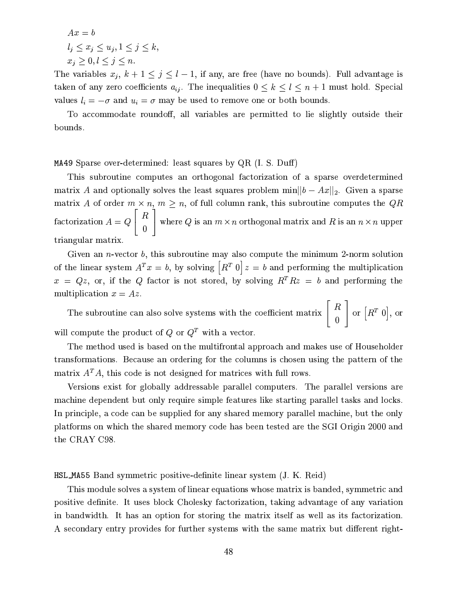$$
Ax = b
$$
  
\n
$$
l_j \le x_j \le u_j, 1 \le j \le k,
$$
  
\n
$$
x_j \ge 0, l \le j \le n.
$$

The variables  $x_j$ ,  $k+1 \le j \le l-1$ , if any, are free (have no bounds). Full advantage is taken of any zero coefficients  $a_{ij}$ . The inequalities  $0 \leq k \leq l \leq n+1$  must hold. Special values  $l_i = -\sigma$  and  $u_i = \sigma$  may be used to remove one or both bounds.

To accommodate roundoff, all variables are permitted to lie slightly outside their bounds.

MA49 Sparse over-determined: least squares by  $QR$  (I. S. Duff)

This subroutine computes an orthogonal factorization of a sparse overdetermined matrix A and optionally solves the least squares problem min $||b - Ax||_2$ . Given a sparse matrix A of order  $m \times n$ ,  $m \ge n$ , of full column rank, this subroutine computes the QR factorization  $A = Q \begin{bmatrix} R \\ 0 \end{bmatrix}$  where Q is an  $m \times n$  orthogonal matrix and R is an  $n \times n$  upper triangular matrix.

Given an *n*-vector  $b$ , this subroutine may also compute the minimum 2-norm solution of the linear system  $A^T x = b$ , by solving  $\left[ R^T 0 \right] z = b$  and performing the multiplication  $x = Qz$ , or, if the Q factor is not stored, by solving  $R^T R z = b$  and performing the multiplication  $x = Az$ .

The subroutine can also solve systems with the coefficient matrix  $\begin{bmatrix} R \\ 0 \end{bmatrix}$  or  $\begin{bmatrix} R^T & 0 \end{bmatrix}$ , or will compute the product of  $Q$  or  $Q<sup>T</sup>$  with a vector.

The method used is based on the multifrontal approach and makes use of Householder transformations. Because an ordering for the columns is chosen using the pattern of the matrix  $A<sup>T</sup>A$ , this code is not designed for matrices with full rows.

Versions exist for globally addressable parallel computers. The parallel versions are machine dependent but only require simple features like starting parallel tasks and locks. In principle, a code can be supplied for any shared memory parallel machine, but the only platforms on which the shared memory code has been tested are the SGI Origin 2000 and the CRAY C98.

HSL\_MA55 Band symmetric positive-definite linear system (J. K. Reid)

This module solves a system of linear equations whose matrix is banded, symmetric and positive definite. It uses block Cholesky factorization, taking advantage of any variation in bandwidth. It has an option for storing the matrix itself as well as its factorization. A secondary entry provides for further systems with the same matrix but different right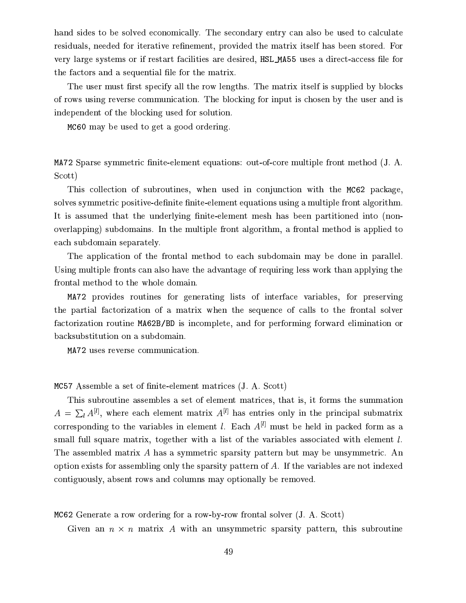hand sides to be solved economically. The secondary entry can also be used to calculate residuals, needed for iterative refinement, provided the matrix itself has been stored. For very large systems or if restart facilities are desired, HSL\_MA55 uses a direct-access file for the factors and a sequential file for the matrix.

The user must first specify all the row lengths. The matrix itself is supplied by blocks of rows using reverse communication. The blocking for input is chosen by the user and is independent of the blocking used for solution.

MC60 may be used to get a good ordering.

MA72 Sparse symmetric finite-element equations: out-of-core multiple front method (J. A. Scott)

This collection of subroutines, when used in conjunction with the MC62 package, solves symmetric positive-definite finite-element equations using a multiple front algorithm. It is assumed that the underlying finite-element mesh has been partitioned into (nonoverlapping) subdomains. In the multiple front algorithm, a frontal method is applied to each subdomain separately.

The application of the frontal method to each subdomain may be done in parallel. Using multiple fronts can also have the advantage of requiring less work than applying the frontal method to the whole domain.

MA72 provides routines for generating lists of interface variables, for preserving the partial factorization of a matrix when the sequence of calls to the frontal solver factorization routine MA62B/BD is incomplete, and for performing forward elimination or backsubstitution on a subdomain.

MA72 uses reverse communication.

MC57 Assemble a set of finite-element matrices (J. A. Scott)

This subroutine assembles a set of element matrices, that is, it forms the summation  $A = \sum_{l} A^{[l]}$ , where each element matrix  $A^{[l]}$  has entries only in the principal submatrix corresponding to the variables in element l. Each  $A^{[l]}$  must be held in packed form as a small full square matrix, together with a list of the variables associated with element  $l$ . The assembled matrix A has a symmetric sparsity pattern but may be unsymmetric. An option exists for assembling only the sparsity pattern of  $A$ . If the variables are not indexed contiguously, absent rows and columns may optionally be removed.

MC62 Generate a row ordering for a row-by-row frontal solver (J. A. Scott)

Given an  $n \times n$  matrix A with an unsymmetric sparsity pattern, this subroutine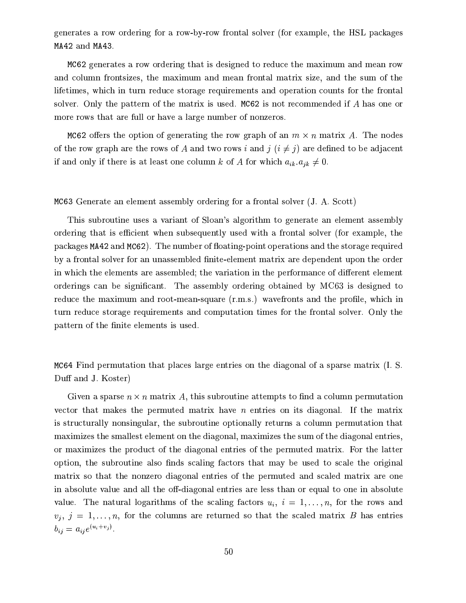generates a row ordering for a row-by-row frontal solver (for example, the HSL packages MA42 and MA43.

MC62 generates a row ordering that is designed to reduce the maximum and mean row and column frontsizes, the maximum and mean frontal matrix size, and the sum of the lifetimes, which in turn reduce storage requirements and operation counts for the frontal solver. Only the pattern of the matrix is used. MC62 is not recommended if A has one or more rows that are full or have a large number of nonzeros.

MC62 offers the option of generating the row graph of an  $m \times n$  matrix A. The nodes of the row graph are the rows of A and two rows i and  $j$   $(i \neq j)$  are defined to be adjacent if and only if there is at least one column k of A for which  $a_{ik}.a_{jk} \neq 0$ .

### MC63 Generate an element assembly ordering for a frontal solver (J. A. Scott)

This subroutine uses a variant of Sloan's algorithm to generate an element assembly ordering that is efficient when subsequently used with a frontal solver (for example, the packages MA42 and MC62). The number of floating-point operations and the storage required by a frontal solver for an unassembled finite-element matrix are dependent upon the order in which the elements are assembled; the variation in the performance of different element orderings can be significant. The assembly ordering obtained by MC63 is designed to reduce the maximum and root-mean-square (r.m.s.) wavefronts and the profile, which in turn reduce storage requirements and computation times for the frontal solver. Only the pattern of the finite elements is used.

MC64 Find permutation that places large entries on the diagonal of a sparse matrix (I. S. Duff and J. Koster)

Given a sparse  $n \times n$  matrix A, this subroutine attempts to find a column permutation vector that makes the permuted matrix have *n* entries on its diagonal. If the matrix is structurally nonsingular, the subroutine optionally returns a column permutation that maximizes the smallest element on the diagonal, maximizes the sum of the diagonal entries, or maximizes the product of the diagonal entries of the permuted matrix. For the latter option, the subroutine also finds scaling factors that may be used to scale the original matrix so that the nonzero diagonal entries of the permuted and scaled matrix are one in absolute value and all the off-diagonal entries are less than or equal to one in absolute value. The natural logarithms of the scaling factors  $u_i$ ,  $i = 1, ..., n$ , for the rows and  $v_i, j = 1, \ldots, n$ , for the columns are returned so that the scaled matrix B has entries  $b_{ij} = a_{ij}e^{(u_i + v_j)}.$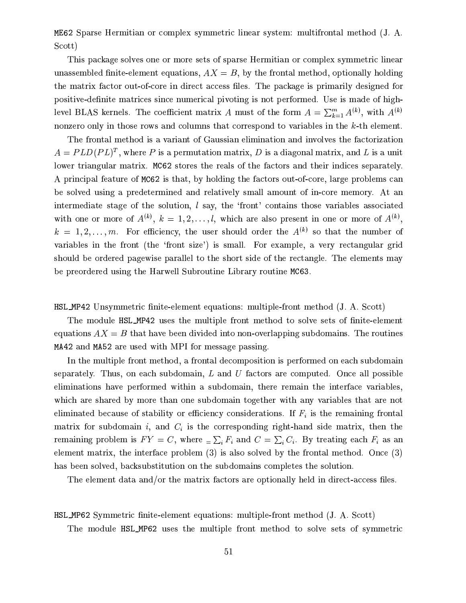ME62 Sparse Hermitian or complex symmetric linear system: multifrontal method (J. A. Scott)

This package solves one or more sets of sparse Hermitian or complex symmetric linear unassembled finite-element equations,  $AX = B$ , by the frontal method, optionally holding the matrix factor out-of-core in direct access files. The package is primarily designed for positive-definite matrices since numerical pivoting is not performed. Use is made of highlevel BLAS kernels. The coefficient matrix A must of the form  $A = \sum_{k=1}^{m} A^{(k)}$ , with  $A^{(k)}$ nonzero only in those rows and columns that correspond to variables in the k-th element.

The frontal method is a variant of Gaussian elimination and involves the factorization  $A = PLD(PL)^T$ , where P is a permutation matrix, D is a diagonal matrix, and L is a unit lower triangular matrix. MC62 stores the reals of the factors and their indices separately. A principal feature of MC62 is that, by holding the factors out-of-core, large problems can be solved using a predetermined and relatively small amount of in-core memory. At an intermediate stage of the solution,  $l$  say, the 'front' contains those variables associated with one or more of  $A^{(k)}$ ,  $k = 1, 2, ..., l$ , which are also present in one or more of  $A^{(k)}$ .  $k = 1, 2, \ldots, m$ . For efficiency, the user should order the  $A^{(k)}$  so that the number of variables in the front (the 'front size') is small. For example, a very rectangular grid should be ordered pagewise parallel to the short side of the rectangle. The elements may be preordered using the Harwell Subroutine Library routine MC63.

HSL\_MP42 Unsymmetric finite-element equations: multiple-front method (J. A. Scott)

The module HSL\_MP42 uses the multiple front method to solve sets of finite-element equations  $AX = B$  that have been divided into non-overlapping subdomains. The routines MA42 and MA52 are used with MPI for message passing.

In the multiple front method, a frontal decomposition is performed on each subdomain separately. Thus, on each subdomain,  $L$  and  $U$  factors are computed. Once all possible eliminations have performed within a subdomain, there remain the interface variables, which are shared by more than one subdomain together with any variables that are not eliminated because of stability or efficiency considerations. If  $F_i$  is the remaining frontal matrix for subdomain i, and  $C_i$  is the corresponding right-hand side matrix, then the remaining problem is  $FY = C$ , where  $\sum_i F_i$  and  $C = \sum_i C_i$ . By treating each  $F_i$  as an element matrix, the interface problem  $(3)$  is also solved by the frontal method. Once  $(3)$ has been solved, backsubstitution on the subdomains completes the solution.

The element data and/or the matrix factors are optionally held in direct-access files.

**HSL\_MP62** Symmetric finite-element equations: multiple-front method (J. A. Scott)

The module HSL\_MP62 uses the multiple front method to solve sets of symmetric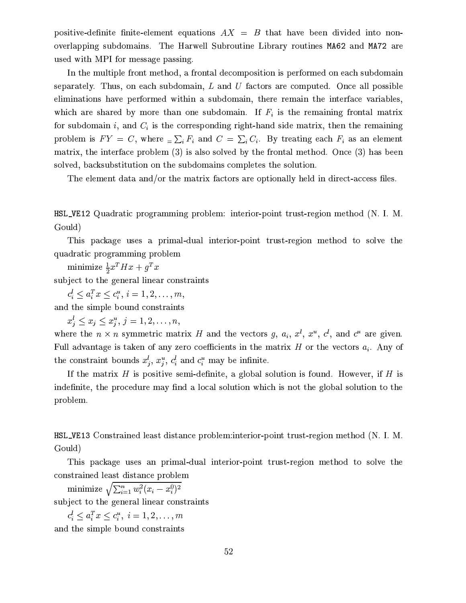positive-definite finite-element equations  $AX = B$  that have been divided into nonoverlapping subdomains. The Harwell Subroutine Library routines MA62 and MA72 are used with MPI for message passing.

In the multiple front method, a frontal decomposition is performed on each subdomain separately. Thus, on each subdomain, L and U factors are computed. Once all possible eliminations have performed within a subdomain, there remain the interface variables, which are shared by more than one subdomain. If  $F_i$  is the remaining frontal matrix for subdomain i, and  $C_i$  is the corresponding right-hand side matrix, then the remaining problem is  $FY = C$ , where  $\sum_i F_i$  and  $C = \sum_i C_i$ . By treating each  $F_i$  as an element matrix, the interface problem  $(3)$  is also solved by the frontal method. Once  $(3)$  has been solved, backsubstitution on the subdomains completes the solution.

The element data and/or the matrix factors are optionally held in direct-access files.

**HSL\_VE12** Quadratic programming problem: interior-point trust-region method (N. I. M. Gould)

This package uses a primal-dual interior-point trust-region method to solve the quadratic programming problem

minimize  $\frac{1}{2}x^T H x + g^T x$ 

subject to the general linear constraints

 $c_i^l \leq a_i^T x \leq c_i^u, i = 1, 2, \ldots, m$ 

and the simple bound constraints

 $x_j^l \leq x_j \leq x_j^u, j = 1, 2, \ldots, n$ 

where the  $n \times n$  symmetric matrix H and the vectors g,  $a_i$ ,  $x^l$ ,  $x^u$ ,  $c^l$ , and  $c^u$  are given. Full advantage is taken of any zero coefficients in the matrix  $H$  or the vectors  $a_i$ . Any of the constraint bounds  $x_i^l, x_i^u, c_i^l$  and  $c_i^u$  may be infinite.

If the matrix  $H$  is positive semi-definite, a global solution is found. However, if  $H$  is indefinite, the procedure may find a local solution which is not the global solution to the problem.

HSL\_VE13 Constrained least distance problem: interior-point trust-region method (N. I. M. Gould)

This package uses an primal-dual interior-point trust-region method to solve the constrained least distance problem

minimize  $\sqrt{\sum_{i=1}^n w_i^2 (x_i - x_i^0)^2}$ subject to the general linear constraints

 $c_i^l \leq a_i^T x \leq c_i^u, i = 1, 2, \ldots, m$ 

and the simple bound constraints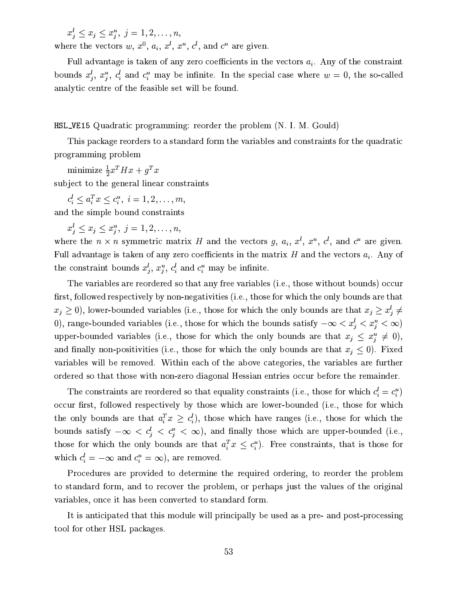$x_i^l \leq x_i \leq x_i^u, \ j = 1, 2, \ldots, n$ 

where the vectors  $w, x^0, a_i, x^l, x^u, c^l$ , and  $c^u$  are given.

Full advantage is taken of any zero coefficients in the vectors  $a_i$ . Any of the constraint bounds  $x_j^l$ ,  $x_j^u$ ,  $c_i^l$  and  $c_i^u$  may be infinite. In the special case where  $w = 0$ , the so-called analytic centre of the feasible set will be found.

**HSL\_VE15** Quadratic programming: reorder the problem (N. I. M. Gould)

This package reorders to a standard form the variables and constraints for the quadratic programming problem

minimize  $\frac{1}{2}x^T H x + g^T x$ subject to the general linear constraints

 $c_i^l \leq a_i^T x \leq c_i^u, i = 1, 2, \ldots, m$ and the simple bound constraints

 $x_j^l \leq x_j \leq x_j^u, \ j = 1, 2, \ldots, n,$ 

where the  $n \times n$  symmetric matrix H and the vectors g,  $a_i$ ,  $x^l$ ,  $x^u$ ,  $c^l$ , and  $c^u$  are given. Full advantage is taken of any zero coefficients in the matrix H and the vectors  $a_i$ . Any of the constraint bounds  $x_i^l, x_i^u, c_i^l$  and  $c_i^u$  may be infinite.

The variables are reordered so that any free variables (i.e., those without bounds) occur first, followed respectively by non-negativities (i.e., those for which the only bounds are that  $x_j \geq 0$ ), lower-bounded variables (i.e., those for which the only bounds are that  $x_j \geq x_j^l \neq$ 0), range-bounded variables (i.e., those for which the bounds satisfy  $-\infty < x_j^l < x_j^u < \infty$ ) upper-bounded variables (i.e., those for which the only bounds are that  $x_i \leq x_i^u \neq 0$ ), and finally non-positivities (i.e., those for which the only bounds are that  $x_j \leq 0$ ). Fixed variables will be removed. Within each of the above categories, the variables are further ordered so that those with non-zero diagonal Hessian entries occur before the remainder.

The constraints are reordered so that equality constraints (i.e., those for which  $c_i^l = c_i^u$ ) occur first, followed respectively by those which are lower-bounded (i.e., those for which the only bounds are that  $a_i^T x \geq c_i^l$ , those which have ranges (i.e., those for which the bounds satisfy  $-\infty < c_j^l < c_j^u < \infty$ , and finally those which are upper-bounded (i.e., those for which the only bounds are that  $a_i^T x \leq c_i^u$ . Free constraints, that is those for which  $c_i^l = -\infty$  and  $c_i^u = \infty$ ), are removed.

Procedures are provided to determine the required ordering, to reorder the problem to standard form, and to recover the problem, or perhaps just the values of the original variables, once it has been converted to standard form.

It is anticipated that this module will principally be used as a pre- and post-processing tool for other HSL packages.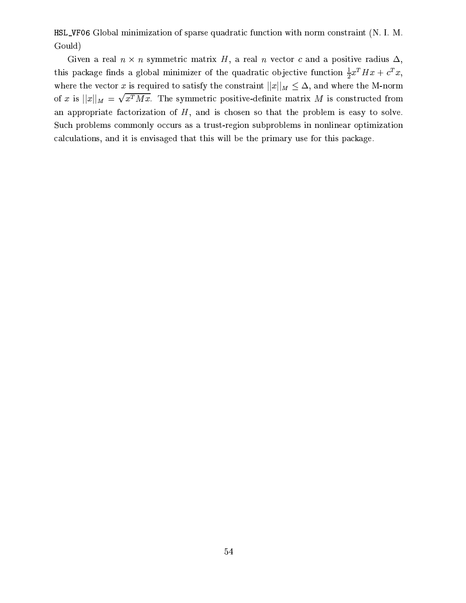HSL\_VF06 Global minimization of sparse quadratic function with norm constraint (N. I. M. Gould)

Given a real  $n \times n$  symmetric matrix H, a real n vector c and a positive radius  $\Delta$ , this package finds a global minimizer of the quadratic objective function  $\frac{1}{2}x^T H x + c^T x$ , where the vector x is required to satisfy the constraint  $||x||_M \leq \Delta$ , and where the M-norm of x is  $||x||_M = \sqrt{x^T M x}$ . The symmetric positive-definite matrix M is constructed from an appropriate factorization of  $H$ , and is chosen so that the problem is easy to solve. Such problems commonly occurs as a trust-region subproblems in nonlinear optimization calculations, and it is envisaged that this will be the primary use for this package.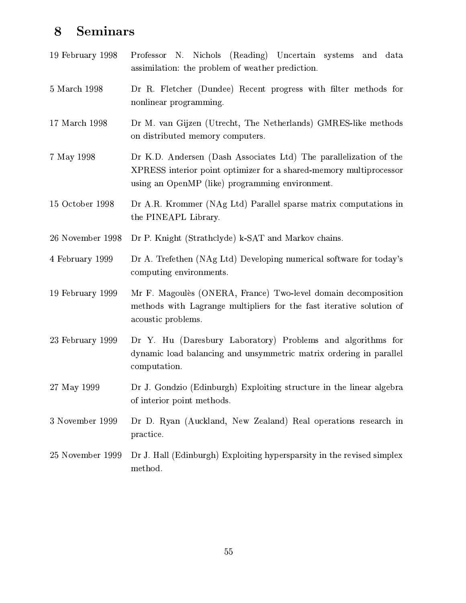#### Seminars 8

| 19 February 1998 | Professor N. Nichols (Reading) Uncertain systems and<br>data<br>assimilation: the problem of weather prediction.                                                                           |  |  |  |  |  |
|------------------|--------------------------------------------------------------------------------------------------------------------------------------------------------------------------------------------|--|--|--|--|--|
| 5 March 1998     | Dr R. Fletcher (Dundee) Recent progress with filter methods for<br>nonlinear programming.                                                                                                  |  |  |  |  |  |
| 17 March 1998    | Dr M. van Gijzen (Utrecht, The Netherlands) GMRES-like methods<br>on distributed memory computers.                                                                                         |  |  |  |  |  |
| 7 May 1998       | Dr K.D. Andersen (Dash Associates Ltd) The parallelization of the<br>XPRESS interior point optimizer for a shared-memory multiprocessor<br>using an OpenMP (like) programming environment. |  |  |  |  |  |
| 15 October 1998  | Dr A.R. Krommer (NAg Ltd) Parallel sparse matrix computations in<br>the PINEAPL Library.                                                                                                   |  |  |  |  |  |
| 26 November 1998 | Dr P. Knight (Strathclyde) k-SAT and Markov chains.                                                                                                                                        |  |  |  |  |  |
| 4 February 1999  | Dr A. Trefethen (NAg Ltd) Developing numerical software for today's<br>computing environments.                                                                                             |  |  |  |  |  |
| 19 February 1999 | Mr F. Magoulès (ONERA, France) Two-level domain decomposition<br>methods with Lagrange multipliers for the fast iterative solution of<br>acoustic problems.                                |  |  |  |  |  |
| 23 February 1999 | Dr Y. Hu (Daresbury Laboratory) Problems and algorithms for<br>dynamic load balancing and unsymmetric matrix ordering in parallel<br>computation.                                          |  |  |  |  |  |
| 27 May 1999      | Dr J. Gondzio (Edinburgh) Exploiting structure in the linear algebra<br>of interior point methods.                                                                                         |  |  |  |  |  |
| 3 November 1999  | Dr D. Ryan (Auckland, New Zealand) Real operations research in<br>practice.                                                                                                                |  |  |  |  |  |
| 25 November 1999 | Dr J. Hall (Edinburgh) Exploiting hypersparsity in the revised simplex<br>method.                                                                                                          |  |  |  |  |  |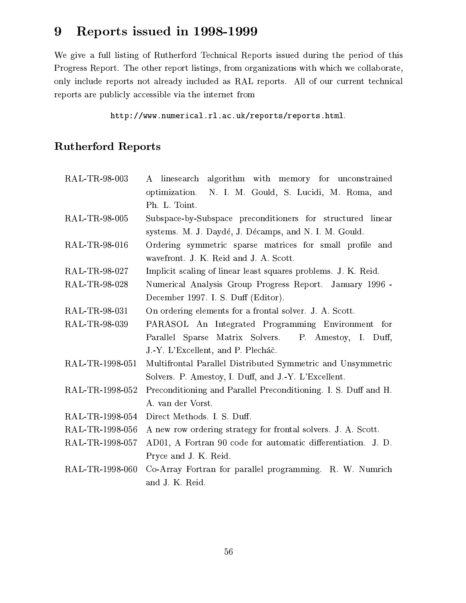#### Reports issued in 1998-1999  $9$

We give a full listing of Rutherford Technical Reports issued during the period of this Progress Report. The other report listings, from organizations with which we collaborate, only include reports not already included as RAL reports. All of our current technical reports are publicly accessible via the internet from

http://www.numerical.rl.ac.uk/reports/reports.html.

# **Rutherford Reports**

| RAL-TR-98-003   | A linesearch algorithm with memory for unconstrained            |
|-----------------|-----------------------------------------------------------------|
|                 | optimization. N. I. M. Gould, S. Lucidi, M. Roma, and           |
|                 | Ph. L. Toint.                                                   |
| RAL-TR-98-005   | Subspace-by-Subspace preconditioners for structured linear      |
|                 | systems. M. J. Daydé, J. Décamps, and N. I. M. Gould.           |
| RAL-TR-98-016   | Ordering symmetric sparse matrices for small profile and        |
|                 | wavefront. J. K. Reid and J. A. Scott.                          |
| RAL-TR-98-027   | Implicit scaling of linear least squares problems. J. K. Reid.  |
| RAL-TR-98-028   | Numerical Analysis Group Progress Report. January 1996 -        |
|                 | December 1997. I. S. Duff (Editor).                             |
| RAL-TR-98-031   | On ordering elements for a frontal solver. J. A. Scott.         |
| RAL-TR-98-039   | PARASOL An Integrated Programming Environment for               |
|                 | Parallel Sparse Matrix Solvers. P. Amestoy, I. Duff,            |
|                 | J.-Y. L'Excellent, and P. Plecháč.                              |
| RAL-TR-1998-051 | Multifrontal Parallel Distributed Symmetric and Unsymmetric     |
|                 | Solvers. P. Amestoy, I. Duff, and J.-Y. L'Excellent.            |
| RAL-TR-1998-052 | Preconditioning and Parallel Preconditioning. I. S. Duff and H. |
|                 | A. van der Vorst.                                               |
| RAL-TR-1998-054 | Direct Methods. I. S. Duff.                                     |
| RAL-TR-1998-056 | A new row ordering strategy for frontal solvers. J. A. Scott.   |
| RAL-TR-1998-057 | AD01, A Fortran 90 code for automatic differentiation. J. D.    |
|                 | Pryce and J. K. Reid.                                           |
| RAL-TR-1998-060 | Co-Array Fortran for parallel programming. R. W. Numrich        |
|                 | and J. K. Reid.                                                 |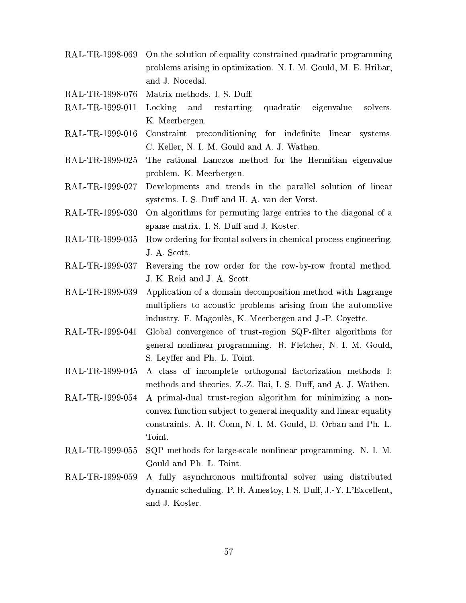- RAL-TR-1998-069 On the solution of equality constrained quadratic programming problems arising in optimization. N. I. M. Gould, M. E. Hribar, and J. Nocedal.
- RAL-TR-1998-076 Matrix methods. I. S. Duff.
- RAL-TR-1999-011 Locking and restarting quadratic eigenvalue solvers. K. Meerbergen.
- RAL-TR-1999-016 Constraint preconditioning for indefinite linear systems. C. Keller, N. I. M. Gould and A. J. Wathen.
- RAL-TR-1999-025 The rational Lanczos method for the Hermitian eigenvalue problem. K. Meerbergen.
- RAL-TR-1999-027 Developments and trends in the parallel solution of linear systems. I. S. Duff and H. A. van der Vorst.
- RAL-TR-1999-030 On algorithms for permuting large entries to the diagonal of a sparse matrix. I. S. Duff and J. Koster.
- RAL-TR-1999-035 Row ordering for frontal solvers in chemical process engineering. J. A. Scott.
- RAL-TR-1999-037 Reversing the row order for the row-by-row frontal method. J. K. Reid and J. A. Scott.
- RAL-TR-1999-039 Application of a domain decomposition method with Lagrange multipliers to acoustic problems arising from the automotive industry. F. Magoulès, K. Meerbergen and J.-P. Coyette.
- Global convergence of trust-region SQP-filter algorithms for RAL-TR-1999-041 general nonlinear programming. R. Fletcher, N. I. M. Gould, S. Leyffer and Ph. L. Toint.
- RAL-TR-1999-045 A class of incomplete orthogonal factorization methods I: methods and theories. Z.-Z. Bai, I. S. Duff, and A. J. Wathen.
- RAL-TR-1999-054 A primal-dual trust-region algorithm for minimizing a nonconvex function subject to general inequality and linear equality constraints. A. R. Conn, N. I. M. Gould, D. Orban and Ph. L. Toint.
- RAL-TR-1999-055 SQP methods for large-scale nonlinear programming. N. I. M. Gould and Ph. L. Toint.
- RAL-TR-1999-059 A fully asynchronous multifrontal solver using distributed dynamic scheduling. P. R. Amestoy, I. S. Duff, J.-Y. L'Excellent, and J. Koster.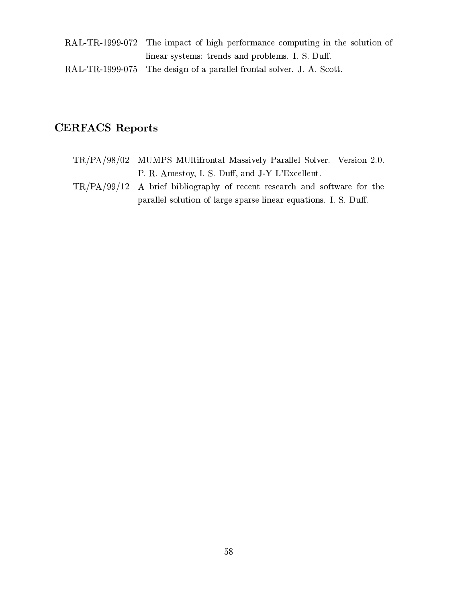RAL-TR-1999-072 The impact of high performance computing in the solution of linear systems: trends and problems. I. S. Duff. RAL-TR-1999-075 The design of a parallel frontal solver. J. A. Scott.

# **CERFACS Reports**

- TR/PA/98/02 MUMPS MUltifrontal Massively Parallel Solver. Version 2.0. P. R. Amestoy, I. S. Duff, and J-Y L'Excellent.
- $TR/PA/99/12$  A brief bibliography of recent research and software for the parallel solution of large sparse linear equations. I. S. Duff.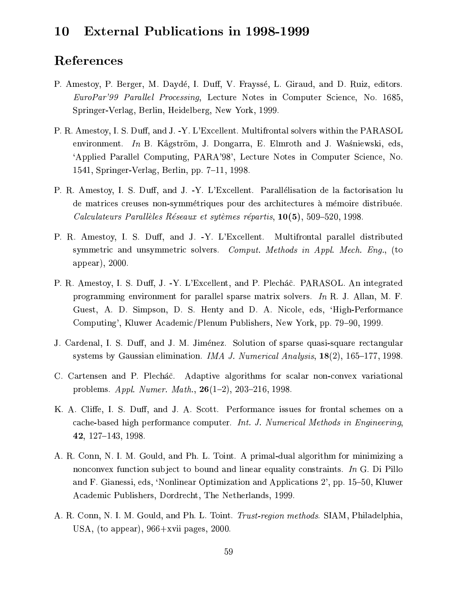#### **External Publications in 1998-1999 10**

# References

- P. Amestoy, P. Berger, M. Daydé, I. Duff, V. Frayssé, L. Giraud, and D. Ruiz, editors. EuroPar'99 Parallel Processing, Lecture Notes in Computer Science, No. 1685, Springer-Verlag, Berlin, Heidelberg, New York, 1999.
- P. R. Amestoy, I. S. Duff, and J. -Y. L'Excellent. Multifrontal solvers within the PARASOL environment. In B. Kågström, J. Dongarra, E. Elmroth and J. Waśniewski, eds, 'Applied Parallel Computing, PARA'98', Lecture Notes in Computer Science, No. 1541, Springer-Verlag, Berlin, pp. 7–11, 1998.
- P. R. Amestoy, I. S. Duff, and J. -Y. L'Excellent. Parallélisation de la factorisation lu de matrices creuses non-symmétriques pour des architectures à mémoire distribuée. Calculateurs Parallèles Réseaux et sytèmes répartis,  $10(5)$ , 509–520, 1998.
- P. R. Amestoy, I. S. Duff, and J. -Y. L'Excellent. Multifrontal parallel distributed symmetric and unsymmetric solvers. Comput. Methods in Appl. Mech. Enq., (to appear), 2000.
- P. R. Amestoy, I. S. Duff, J. -Y. L'Excellent, and P. Plecháč. PARASOL. An integrated programming environment for parallel sparse matrix solvers. In R. J. Allan, M. F. Guest, A. D. Simpson, D. S. Henty and D. A. Nicole, eds, 'High-Performance Computing', Kluwer Academic/Plenum Publishers, New York, pp. 79–90, 1999.
- J. Cardenal, I. S. Duff, and J. M. Jiménez. Solution of sparse quasi-square rectangular systems by Gaussian elimination. *IMA J. Numerical Analysis*,  $18(2)$ ,  $165-177$ , 1998.
- C. Cartensen and P. Plecháč. Adaptive algorithms for scalar non-convex variational problems. Appl. Numer. Math.,  $26(1-2)$ , 203-216, 1998.
- K. A. Cliffe, I. S. Duff, and J. A. Scott. Performance issues for frontal schemes on a cache-based high performance computer. Int. J. Numerical Methods in Engineering,  $42, 127-143, 1998.$
- A. R. Conn, N. I. M. Gould, and Ph. L. Toint. A primal-dual algorithm for minimizing a nonconvex function subject to bound and linear equality constraints. In G. Di Pillo and F. Gianessi, eds. 'Nonlinear Optimization and Applications 2', pp. 15–50, Kluwer Academic Publishers, Dordrecht, The Netherlands, 1999.
- A. R. Conn, N. I. M. Gould, and Ph. L. Toint. Trust-region methods. SIAM, Philadelphia, USA, (to appear),  $966+$ xvii pages, 2000.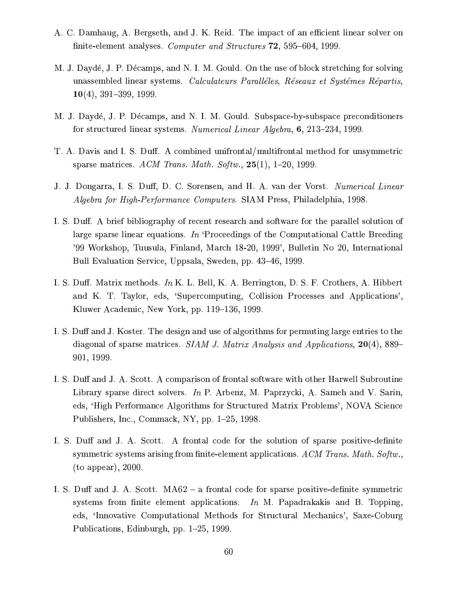- A. C. Damhaug, A. Bergseth, and J. K. Reid. The impact of an efficient linear solver on finite-element analyses. Computer and Structures 72, 595–604, 1999.
- M. J. Daydé, J. P. Décamps, and N. I. M. Gould. On the use of block stretching for solving unassembled linear systems. Calculateurs Paralléles, Réseaux et Systémes Répartis,  $10(4)$ , 391–399, 1999.
- M. J. Daydé, J. P. Décamps, and N. I. M. Gould. Subspace-by-subspace preconditioners for structured linear systems. Numerical Linear Algebra, 6, 213-234, 1999.
- T. A. Davis and I. S. Duff. A combined unifrontal/multifrontal method for unsymmetric sparse matrices. ACM Trans. Math. Softw.,  $25(1)$ , 1-20, 1999.
- J. J. Dongarra, I. S. Duff, D. C. Sorensen, and H. A. van der Vorst. Numerical Linear Algebra for High-Performance Computers. SIAM Press, Philadelphia, 1998.
- I. S. Duff. A brief bibliography of recent research and software for the parallel solution of large sparse linear equations. In 'Proceedings of the Computational Cattle Breeding '99 Workshop, Tuusula, Finland, March 18-20, 1999', Bulletin No 20, International Bull Evaluation Service, Uppsala, Sweden, pp. 43–46, 1999.
- I. S. Duff. Matrix methods. In K. L. Bell, K. A. Berrington, D. S. F. Crothers, A. Hibbert and K. T. Taylor, eds, 'Supercomputing, Collision Processes and Applications', Kluwer Academic, New York, pp. 119-136, 1999.
- I. S. Duff and J. Koster. The design and use of algorithms for permuting large entries to the diagonal of sparse matrices. *SIAM J. Matrix Analysis and Applications*,  $20(4)$ , 889– 901, 1999.
- I. S. Duff and J. A. Scott. A comparison of frontal software with other Harwell Subroutine Library sparse direct solvers. In P. Arbenz, M. Paprzycki, A. Sameh and V. Sarin, eds, 'High Performance Algorithms for Structured Matrix Problems', NOVA Science Publishers, Inc., Commack, NY, pp. 1-25, 1998.
- I. S. Duff and J. A. Scott. A frontal code for the solution of sparse positive-definite symmetric systems arising from finite-element applications. ACM Trans. Math. Softw.,  $($ to appear $), 2000.$
- I. S. Duff and J. A. Scott. MA62 a frontal code for sparse positive-definite symmetric systems from finite element applications. In M. Papadrakakis and B. Topping, eds, 'Innovative Computational Methods for Structural Mechanics', Saxe-Coburg Publications, Edinburgh, pp. 1–25, 1999.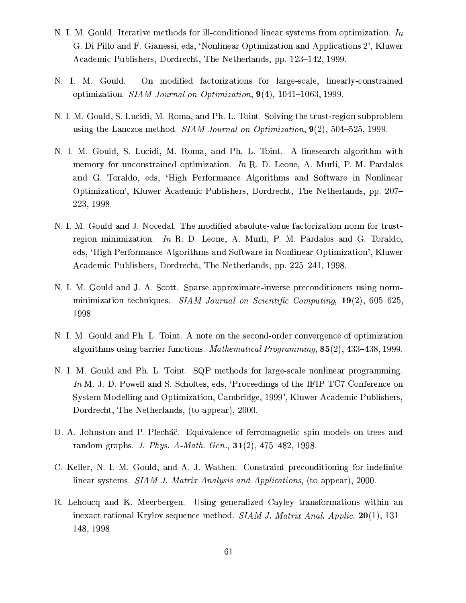- N. I. M. Gould. Iterative methods for ill-conditioned linear systems from optimization. In G. Di Pillo and F. Gianessi, eds, 'Nonlinear Optimization and Applications 2', Kluwer Academic Publishers, Dordrecht, The Netherlands, pp. 123–142, 1999.
- On modified factorizations for large-scale, linearly-constrained N. I. M. Gould. optimization. SIAM Journal on Optimization,  $9(4)$ , 1041-1063, 1999.
- N. I. M. Gould, S. Lucidi, M. Roma, and Ph. L. Toint. Solving the trust-region subproblem using the Lanczos method. SIAM Journal on Optimization,  $9(2)$ , 504-525, 1999.
- N. I. M. Gould, S. Lucidi, M. Roma, and Ph. L. Toint. A linesearch algorithm with memory for unconstrained optimization. In R. D. Leone, A. Murli, P. M. Pardalos and G. Toraldo, eds, 'High Performance Algorithms and Software in Nonlinear Optimization', Kluwer Academic Publishers, Dordrecht, The Netherlands, pp. 207– 223, 1998.
- N. I. M. Gould and J. Nocedal. The modified absolute-value factorization norm for trustregion minimization. In R. D. Leone, A. Murli, P. M. Pardalos and G. Toraldo, eds, 'High Performance Algorithms and Software in Nonlinear Optimization', Kluwer Academic Publishers, Dordrecht, The Netherlands, pp. 225-241, 1998.
- N. I. M. Gould and J. A. Scott. Sparse approximate-inverse preconditioners using normminimization techniques. SIAM Journal on Scientific Computing,  $19(2)$ , 605-625, 1998.
- N. I. M. Gould and Ph. L. Toint. A note on the second-order convergence of optimization algorithms using barrier functions. *Mathematical Programming*,  $85(2)$ ,  $433-438$ , 1999.
- N. I. M. Gould and Ph. L. Toint. SQP methods for large-scale nonlinear programming. In M. J. D. Powell and S. Scholtes, eds, 'Proceedings of the IFIP TC7 Conference on System Modelling and Optimization, Cambridge, 1999', Kluwer Academic Publishers, Dordrecht, The Netherlands, (to appear), 2000.
- D. A. Johnston and P. Plecháč. Equivalence of ferromagnetic spin models on trees and random graphs. *J. Phys. A-Math. Gen.*,  $31(2)$ ,  $475-482$ , 1998.
- C. Keller, N. I. M. Gould, and A. J. Wathen. Constraint preconditioning for indefinite linear systems. SIAM J. Matrix Analysis and Applications, (to appear), 2000.
- R. Lehoucq and K. Meerbergen. Using generalized Cayley transformations within an inexact rational Krylov sequence method. SIAM J. Matrix Anal. Applic.  $20(1)$ , 131– 148, 1998.